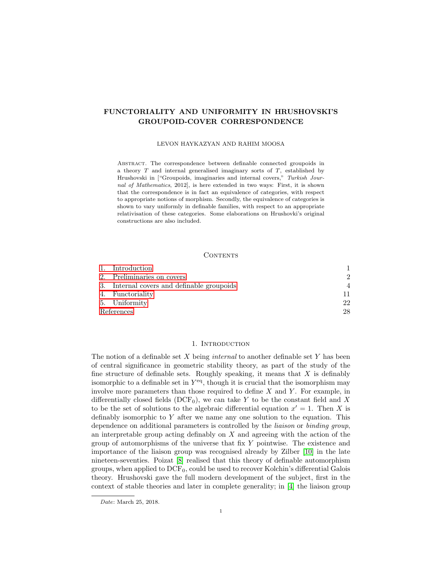# FUNCTORIALITY AND UNIFORMITY IN HRUSHOVSKI'S GROUPOID-COVER CORRESPONDENCE

## LEVON HAYKAZYAN AND RAHIM MOOSA

Abstract. The correspondence between definable connected groupoids in a theory  $T$  and internal generalised imaginary sorts of  $T$ , established by Hrushovski in ["Groupoids, imaginaries and internal covers," Turkish Journal of Mathematics, 2012], is here extended in two ways: First, it is shown that the correspondence is in fact an equivalence of categories, with respect to appropriate notions of morphism. Secondly, the equivalence of categories is shown to vary uniformly in definable families, with respect to an appropriate relativisation of these categories. Some elaborations on Hrushovki's original constructions are also included.

## **CONTENTS**

|            | 1. Introduction                            |                |
|------------|--------------------------------------------|----------------|
|            | 2. Preliminaries on covers                 | $\mathcal{D}$  |
|            | 3. Internal covers and definable groupoids | $\overline{A}$ |
|            | 4. Functoriality                           | 11             |
|            | 5. Uniformity                              | 22             |
| References |                                            | 28             |

## 1. INTRODUCTION

<span id="page-0-0"></span>The notion of a definable set  $X$  being *internal* to another definable set  $Y$  has been of central significance in geometric stability theory, as part of the study of the fine structure of definable sets. Roughly speaking, it means that  $X$  is definably isomorphic to a definable set in  $Y^{\text{eq}}$ , though it is crucial that the isomorphism may involve more parameters than those required to define  $X$  and  $Y$ . For example, in differentially closed fields (DCF<sub>0</sub>), we can take Y to be the constant field and X to be the set of solutions to the algebraic differential equation  $x' = 1$ . Then X is definably isomorphic to  $Y$  after we name any one solution to the equation. This dependence on additional parameters is controlled by the liaison or binding group, an interpretable group acting definably on  $X$  and agreeing with the action of the group of automorphisms of the universe that fix Y pointwise. The existence and importance of the liaison group was recognised already by Zilber [\[10\]](#page-27-1) in the late nineteen-seventies. Poizat [\[8\]](#page-27-2) realised that this theory of definable automorphism groups, when applied to  $DCF_0$ , could be used to recover Kolchin's differential Galois theory. Hrushovski gave the full modern development of the subject, first in the context of stable theories and later in complete generality; in [\[4\]](#page-27-3) the liaison group

Date: March 25, 2018.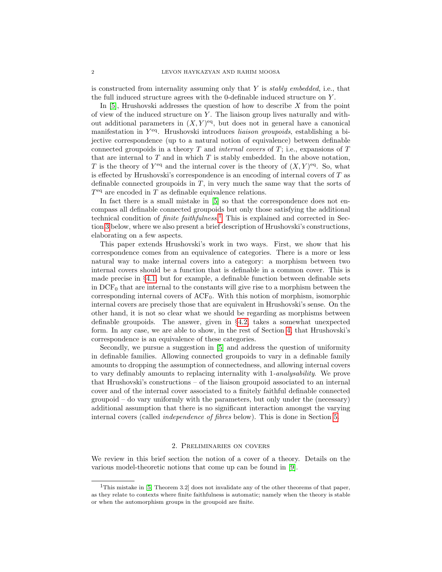is constructed from internality assuming only that  $Y$  is stably embedded, i.e., that the full induced structure agrees with the 0-definable induced structure on Y .

In [\[5\]](#page-27-4), Hrushovski addresses the question of how to describe  $X$  from the point of view of the induced structure on  $Y$ . The liaison group lives naturally and without additional parameters in  $(X, Y)$ <sup>eq</sup>, but does not in general have a canonical manifestation in Y<sup>eq</sup>. Hrushovski introduces liaison groupoids, establishing a bijective correspondence (up to a natural notion of equivalence) between definable connected groupoids in a theory  $T$  and *internal covers* of  $T$ ; i.e., expansions of  $T$ that are internal to  $T$  and in which  $T$  is stably embedded. In the above notation, T is the theory of  $Y^{\text{eq}}$  and the internal cover is the theory of  $(X, Y)^{\text{eq}}$ . So, what is effected by Hrushovski's correspondence is an encoding of internal covers of  $T$  as definable connected groupoids in  $T$ , in very much the same way that the sorts of  $T<sup>eq</sup>$  are encoded in T as definable equivalence relations.

In fact there is a small mistake in [\[5\]](#page-27-4) so that the correspondence does not encompass all definable connected groupoids but only those satisfying the additional technical condition of *finite faithfulness*.<sup>[1](#page-1-1)</sup> This is explained and corrected in Section [3](#page-3-0) below, where we also present a brief description of Hrushovski's constructions, elaborating on a few aspects.

This paper extends Hrushovski's work in two ways. First, we show that his correspondence comes from an equivalence of categories. There is a more or less natural way to make internal covers into a category: a morphism between two internal covers should be a function that is definable in a common cover. This is made precise in  $\S 4.1$ , but for example, a definable function between definable sets in  $DCF_0$  that are internal to the constants will give rise to a morphism between the corresponding internal covers of ACF0. With this notion of morphism, isomorphic internal covers are precisely those that are equivalent in Hrushovski's sense. On the other hand, it is not so clear what we should be regarding as morphisms between definable groupoids. The answer, given in §[4.2,](#page-12-0) takes a somewhat unexpected form. In any case, we are able to show, in the rest of Section [4,](#page-10-0) that Hrushovski's correspondence is an equivalence of these categories.

Secondly, we pursue a suggestion in [\[5\]](#page-27-4) and address the question of uniformity in definable families. Allowing connected groupoids to vary in a definable family amounts to dropping the assumption of connectedness, and allowing internal covers to vary definably amounts to replacing internality with 1-analysability. We prove that Hrushovski's constructions – of the liaison groupoid associated to an internal cover and of the internal cover associated to a finitely faithful definable connected groupoid – do vary uniformly with the parameters, but only under the (necessary) additional assumption that there is no significant interaction amongst the varying internal covers (called independence of fibres below). This is done in Section [5.](#page-21-0)

#### 2. Preliminaries on covers

<span id="page-1-0"></span>We review in this brief section the notion of a cover of a theory. Details on the various model-theoretic notions that come up can be found in [\[9\]](#page-27-5).

<span id="page-1-1"></span><sup>&</sup>lt;sup>1</sup>This mistake in [\[5,](#page-27-4) Theorem 3.2] does not invalidate any of the other theorems of that paper, as they relate to contexts where finite faithfulness is automatic; namely when the theory is stable or when the automorphism groups in the groupoid are finite.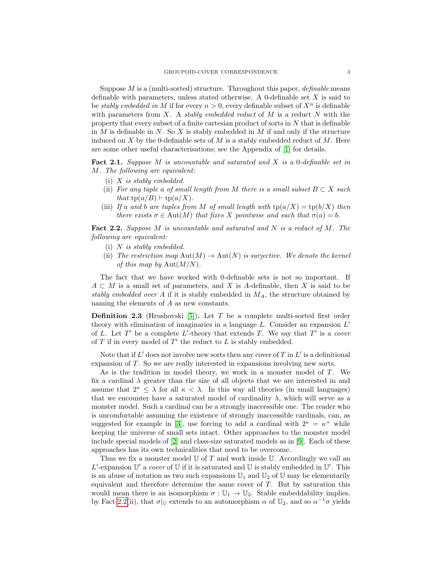Suppose M is a (multi-sorted) structure. Throughout this paper, definable means definable with parameters, unless stated otherwise. A 0-definable set X is said to be stably embedded in M if for every  $n > 0$ , every definable subset of  $X<sup>n</sup>$  is definable with parameters from  $X$ . A stably embedded reduct of  $M$  is a reduct  $N$  with the property that every subset of a finite cartesian product of sorts in N that is definable in  $M$  is definable in  $N$ . So  $X$  is stably embedded in  $M$  if and only if the structure induced on X by the 0-definable sets of M is a stably embedded reduct of M. Here are some other useful characterisations; see the Appendix of [\[1\]](#page-27-6) for details.

Fact 2.1. Suppose M is uncountable and saturated and X is a 0-definable set in M. The following are equivalent:

- (i) X is stably embedded.
- (ii) For any tuple a of small length from M there is a small subset  $B \subset X$  such that  $tp(a/B) \vdash tp(a/X)$ .
- (iii) If a and b are tuples from M of small length with  $tp(a/X) = tp(b/X)$  then there exists  $\sigma \in \text{Aut}(M)$  that fixes X pointwise and such that  $\sigma(a) = b$ .

<span id="page-2-0"></span>**Fact 2.2.** Suppose M is uncountable and saturated and N is a reduct of M. The following are equivalent:

- (i)  $N$  is stably embedded.
- (ii) The restriction map  $\text{Aut}(M) \to \text{Aut}(N)$  is surjective. We denote the kernel of this map by  $Aut(M/N)$ .

The fact that we have worked with 0-definable sets is not so important. If  $A \subset M$  is a small set of parameters, and X is A-definable, then X is said to be stably embedded over A if it is stably embedded in  $M_A$ , the structure obtained by naming the elements of A as new constants.

**Definition 2.3** (Hrushovski [\[5\]](#page-27-4)). Let T be a complete multi-sorted first order theory with elimination of imaginaries in a language  $L$ . Consider an expansion  $L'$ of L. Let  $T'$  be a complete L'-theory that extends T. We say that  $T'$  is a cover of  $T$  if in every model of  $T'$  the reduct to  $L$  is stably embedded.

Note that if  $L'$  does not involve new sorts then any cover of T in  $L'$  is a definitional expansion of T. So we are really interested in expansions involving new sorts.

As is the tradition in model theory, we work in a monster model of T. We fix a cardinal  $\lambda$  greater than the size of all objects that we are interested in and assume that  $2^k \leq \lambda$  for all  $\kappa < \lambda$ . In this way all theories (in small languages) that we encounter have a saturated model of cardinality  $\lambda$ , which will serve as a monster model. Such a cardinal can be a strongly inaccessible one. The reader who is uncomfortable assuming the existence of strongly inaccessible cardinals, can, as suggested for example in [\[3\]](#page-27-7), use forcing to add a cardinal with  $2^{\kappa} = \kappa^+$  while keeping the universe of small sets intact. Other approaches to the monster model include special models of [\[2\]](#page-27-8) and class-size saturated models as in [\[9\]](#page-27-5). Each of these approaches has its own technicalities that need to be overcome.

Thus we fix a monster model  $U$  of  $T$  and work inside  $U$ . Accordingly we call an L'-expansion  $\mathbb{U}'$  a cover of  $\mathbb U$  if it is saturated and  $\mathbb U$  is stably embedded in  $\mathbb U'$ . This is an abuse of notation as two such expansions  $\mathbb{U}_1$  and  $\mathbb{U}_2$  of  $\mathbb{U}$  may be elementarily equivalent and therefore determine the same cover of  $T$ . But by saturation this would mean there is an isomorphism  $\sigma : \mathbb{U}_1 \to \mathbb{U}_2$ . Stable embeddability implies, by Fact [2.2\(](#page-2-0)ii), that  $\sigma|_U$  extends to an automorphism  $\alpha$  of  $\mathbb{U}_2$ , and so  $\alpha^{-1}\sigma$  yields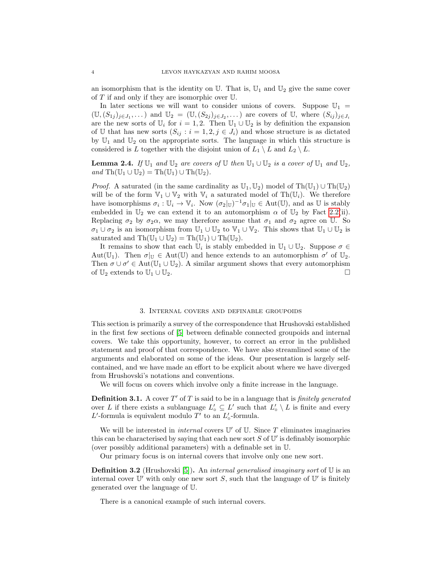an isomorphism that is the identity on  $\mathbb U$ . That is,  $\mathbb U_1$  and  $\mathbb U_2$  give the same cover of  $T$  if and only if they are isomorphic over  $\mathbb U$ .

In later sections we will want to consider unions of covers. Suppose  $\mathbb{U}_1$  =  $(\mathbb{U}, (S_{1j})_{j\in J_1}, \dots)$  and  $\mathbb{U}_2 = (\mathbb{U}, (S_{2j})_{j\in J_2}, \dots)$  are covers of  $\mathbb{U}$ , where  $(S_{ij})_{j\in J_i}$ are the new sorts of  $\mathbb{U}_i$  for  $i = 1, 2$ . Then  $\mathbb{U}_1 \cup \mathbb{U}_2$  is by definition the expansion of U that has new sorts  $(S_{ij} : i = 1, 2, j \in J_i)$  and whose structure is as dictated by  $\mathbb{U}_1$  and  $\mathbb{U}_2$  on the appropriate sorts. The language in which this structure is considered is L together with the disjoint union of  $L_1 \setminus L$  and  $L_2 \setminus L$ .

<span id="page-3-1"></span>**Lemma 2.4.** If  $\mathbb{U}_1$  and  $\mathbb{U}_2$  are covers of  $\mathbb{U}$  then  $\mathbb{U}_1 \cup \mathbb{U}_2$  is a cover of  $\mathbb{U}_1$  and  $\mathbb{U}_2$ , and  $\text{Th}(\mathbb{U}_1 \cup \mathbb{U}_2) = \text{Th}(\mathbb{U}_1) \cup \text{Th}(\mathbb{U}_2).$ 

*Proof.* A saturated (in the same cardinality as  $\mathbb{U}_1, \mathbb{U}_2$ ) model of Th $(\mathbb{U}_1) \cup Th(\mathbb{U}_2)$ will be of the form  $\mathbb{V}_1 \cup \mathbb{V}_2$  with  $\mathbb{V}_i$  a saturated model of Th $(\mathbb{U}_i)$ . We therefore have isomorphisms  $\sigma_i : \mathbb{U}_i \to \mathbb{V}_i$ . Now  $(\sigma_2|_{\mathbb{U}})^{-1} \sigma_1|_{\mathbb{U}} \in \text{Aut}(\mathbb{U})$ , and as  $\mathbb{U}$  is stably embedded in  $\mathbb{U}_2$  we can extend it to an automorphism  $\alpha$  of  $\mathbb{U}_2$  by Fact [2.2\(](#page-2-0)ii). Replacing  $\sigma_2$  by  $\sigma_2\alpha$ , we may therefore assume that  $\sigma_1$  and  $\sigma_2$  agree on U. So  $\sigma_1 \cup \sigma_2$  is an isomorphism from  $\mathbb{U}_1 \cup \mathbb{U}_2$  to  $\mathbb{V}_1 \cup \mathbb{V}_2$ . This shows that  $\mathbb{U}_1 \cup \mathbb{U}_2$  is saturated and  $\text{Th}(\mathbb{U}_1 \cup \mathbb{U}_2) = \text{Th}(\mathbb{U}_1) \cup \text{Th}(\mathbb{U}_2)$ .

It remains to show that each  $\mathbb{U}_i$  is stably embedded in  $\mathbb{U}_1 \cup \mathbb{U}_2$ . Suppose  $\sigma \in$ Aut( $\mathbb{U}_1$ ). Then  $\sigma|_{\mathbb{U}} \in$  Aut( $\mathbb{U}$ ) and hence extends to an automorphism  $\sigma'$  of  $\mathbb{U}_2$ . Then  $\sigma \cup \sigma' \in \text{Aut}(\mathbb{U}_1 \cup \mathbb{U}_2)$ . A similar argument shows that every automorphism of  $\mathbb{U}_2$  extends to  $\mathbb{U}_1 \cup \mathbb{U}_2$ .

#### 3. Internal covers and definable groupoids

<span id="page-3-0"></span>This section is primarily a survey of the correspondence that Hrushovski established in the first few sections of [\[5\]](#page-27-4) between definable connected groupoids and internal covers. We take this opportunity, however, to correct an error in the published statement and proof of that correspondence. We have also streamlined some of the arguments and elaborated on some of the ideas. Our presentation is largely selfcontained, and we have made an effort to be explicit about where we have diverged from Hrushovski's notations and conventions.

We will focus on covers which involve only a finite increase in the language.

**Definition 3.1.** A cover  $T'$  of T is said to be in a language that is *finitely generated* over L if there exists a sublanguage  $L'_{o} \subseteq L'$  such that  $L'_{o} \setminus L$  is finite and every  $L'$ -formula is equivalent modulo  $T'$  to an  $L'_{\circ}$ -formula.

We will be interested in *internal* covers  $\mathbb{U}'$  of  $\mathbb{U}$ . Since T eliminates imaginaries this can be characterised by saying that each new sort  $S$  of  $\mathbb{U}'$  is definably isomorphic (over possibly additional parameters) with a definable set in U.

Our primary focus is on internal covers that involve only one new sort.

**Definition 3.2** (Hrushovski [\[5\]](#page-27-4)). An *internal generalised imaginary sort* of  $\mathbb{U}$  is an internal cover  $\mathbb{U}'$  with only one new sort S, such that the language of  $\mathbb{U}'$  is finitely generated over the language of U.

There is a canonical example of such internal covers.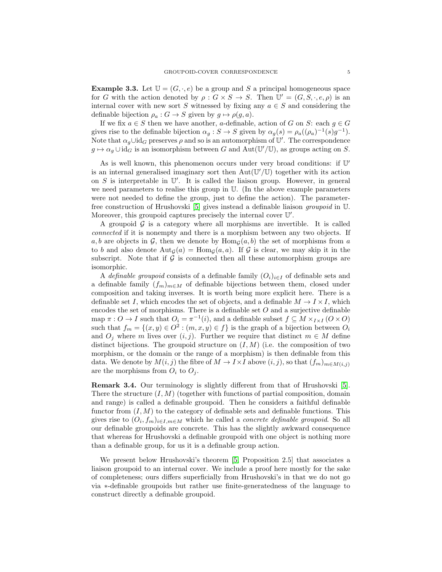**Example 3.3.** Let  $\mathbb{U} = (G, \cdot, e)$  be a group and S a principal homogeneous space for G with the action denoted by  $\rho: G \times S \to S$ . Then  $\mathbb{U}' = (G, S, \cdot, e, \rho)$  is an internal cover with new sort S witnessed by fixing any  $a \in S$  and considering the definable bijection  $\rho_a : G \to S$  given by  $g \mapsto \rho(g, a)$ .

If we fix  $a \in S$  then we have another, a-definable, action of G on S: each  $g \in G$ gives rise to the definable bijection  $\alpha_g : S \to S$  given by  $\alpha_g(s) = \rho_a((\rho_a)^{-1}(s)g^{-1})$ . Note that  $\alpha_g \cup id_G$  preserves  $\rho$  and so is an automorphism of  $\mathbb{U}'$ . The correspondence  $g \mapsto \alpha_g \cup \text{id}_G$  is an isomorphism between G and Aut $(\mathbb{U}'/\mathbb{U})$ , as groups acting on S.

As is well known, this phenomenon occurs under very broad conditions: if U' is an internal generalised imaginary sort then  $Aut(\mathbb{U}'/\mathbb{U})$  together with its action on  $S$  is interpretable in  $\mathbb{U}'$ . It is called the liaison group. However, in general we need parameters to realise this group in U. (In the above example parameters were not needed to define the group, just to define the action). The parameterfree construction of Hrushovski [\[5\]](#page-27-4) gives instead a definable liaison groupoid in U. Moreover, this groupoid captures precisely the internal cover  $\mathbb{U}'$ .

A groupoid  $\mathcal G$  is a category where all morphisms are invertible. It is called connected if it is nonempty and there is a morphism between any two objects. If a, b are objects in G, then we denote by  $\text{Hom}_G(a, b)$  the set of morphisms from a to b and also denote  $\text{Aut}_{\mathcal{G}}(a) = \text{Hom}_{\mathcal{G}}(a, a)$ . If G is clear, we may skip it in the subscript. Note that if  $\mathcal G$  is connected then all these automorphism groups are isomorphic.

A definable groupoid consists of a definable family  $(O_i)_{i\in I}$  of definable sets and a definable family  $(f_m)_{m \in M}$  of definable bijections between them, closed under composition and taking inverses. It is worth being more explicit here. There is a definable set I, which encodes the set of objects, and a definable  $M \to I \times I$ , which encodes the set of morphisms. There is a definable set  $O$  and a surjective definable map  $\pi: O \to I$  such that  $O_i = \pi^{-1}(i)$ , and a definable subset  $f \subseteq M \times_{I \times I} (O \times O)$ such that  $f_m = \{(x, y) \in O^2 : (m, x, y) \in f\}$  is the graph of a bijection between  $O_i$ and  $O_j$  where m lives over  $(i, j)$ . Further we require that distinct  $m \in M$  define distinct bijections. The groupoid structure on  $(I, M)$  (i.e. the composition of two morphism, or the domain or the range of a morphism) is then definable from this data. We denote by  $M(i, j)$  the fibre of  $M \to I \times I$  above  $(i, j)$ , so that  $(f_m)_{m \in M(i, j)}$ are the morphisms from  $O_i$  to  $O_j$ .

Remark 3.4. Our terminology is slightly different from that of Hrushovski [\[5\]](#page-27-4). There the structure  $(I, M)$  (together with functions of partial composition, domain and range) is called a definable groupoid. Then he considers a faithful definable functor from  $(I, M)$  to the category of definable sets and definable functions. This gives rise to  $(O_i, f_m)_{i \in I, m \in M}$  which he called a *concrete definable groupoid*. So all our definable groupoids are concrete. This has the slightly awkward consequence that whereas for Hrushovski a definable groupoid with one object is nothing more than a definable group, for us it is a definable group action.

We present below Hrushovski's theorem [\[5,](#page-27-4) Proposition 2.5] that associates a liaison groupoid to an internal cover. We include a proof here mostly for the sake of completeness; ours differs superficially from Hrushovski's in that we do not go via ∗-definable groupoids but rather use finite-generatedness of the language to construct directly a definable groupoid.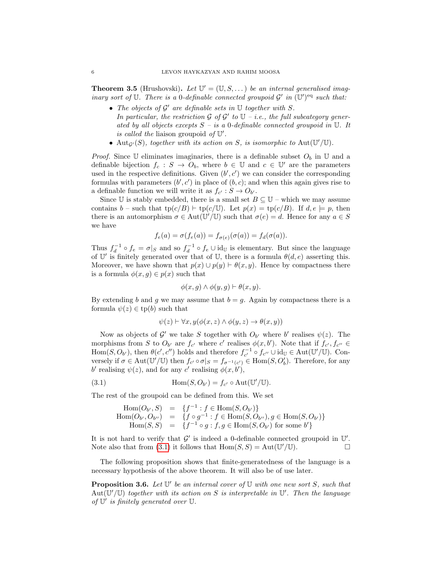<span id="page-5-2"></span>**Theorem 3.5** (Hrushovski). Let  $\mathbb{U}' = (\mathbb{U}, S, \dots)$  be an internal generalised imaginary sort of  $\mathbb U$ . There is a 0-definable connected groupoid  $\mathcal G'$  in  $(\mathbb U')^{\text{eq}}$  such that:

- The objects of  $\mathcal{G}'$  are definable sets in  $\mathbb U$  together with S. In particular, the restriction  $\mathcal G$  of  $\mathcal G'$  to  $\mathbb U$  - *i.e.*, the full subcategory generated by all objects excepts  $S - i s a 0$ -definable connected groupoid in U. It is called the liaison groupoid of  $\mathbb{U}'$ .
- Aut $_{\mathcal{G}'}(S)$ , together with its action on S, is isomorphic to Aut $(\mathbb{U}'/\mathbb{U})$ .

*Proof.* Since U eliminates imaginaries, there is a definable subset  $O_b$  in U and a definable bijection  $f_c : S \to O_b$ , where  $b \in \mathbb{U}$  and  $c \in \mathbb{U}'$  are the parameters used in the respective definitions. Given  $(b', c')$  we can consider the corresponding formulas with parameters  $(b', c')$  in place of  $(b, c)$ ; and when this again gives rise to a definable function we will write it as  $f_{c'} : S \to O_{b'}$ .

Since U is stably embedded, there is a small set  $B \subset U$  – which we may assume contains  $b$  – such that  $tp(c/B) \vdash tp(c/\mathbb{U})$ . Let  $p(x) = tp(c/B)$ . If  $d, e \models p$ , then there is an automorphism  $\sigma \in Aut(\mathbb{U}'/\mathbb{U})$  such that  $\sigma(e) = d$ . Hence for any  $a \in S$ we have

$$
f_e(a) = \sigma(f_e(a)) = f_{\sigma(e)}(\sigma(a)) = f_d(\sigma(a)).
$$

Thus  $f_d^{-1} \circ f_e = \sigma |_{S}$  and so  $f_d^{-1} \circ f_e \cup id_{\mathbb{U}}$  is elementary. But since the language of U' is finitely generated over that of U, there is a formula  $\theta(d, e)$  asserting this. Moreover, we have shown that  $p(x) \cup p(y) \vdash \theta(x, y)$ . Hence by compactness there is a formula  $\phi(x, g) \in p(x)$  such that

$$
\phi(x,g) \land \phi(y,g) \vdash \theta(x,y).
$$

By extending b and g we may assume that  $b = g$ . Again by compactness there is a formula  $\psi(z) \in \text{tp}(b)$  such that

<span id="page-5-0"></span>
$$
\psi(z) \vdash \forall x, y(\phi(x, z) \land \phi(y, z) \to \theta(x, y))
$$

Now as objects of  $\mathcal{G}'$  we take S together with  $O_{b'}$  where b' realises  $\psi(z)$ . The morphisms from S to  $O_{b'}$  are  $f_{c'}$  where c' realises  $\phi(x, b')$ . Note that if  $f_{c'}, f_{c''} \in$ Hom(S,  $O_{b'}$ ), then  $\theta(c', c'')$  holds and therefore  $f_{c'}^{-1} \circ f_{c''} \cup id_{\mathbb{U}} \in Aut(\mathbb{U'}/\mathbb{U})$ . Conversely if  $\sigma \in \text{Aut}(\mathbb{U}'/\mathbb{U})$  then  $f_{c'} \circ \sigma|_{S} = f_{\sigma^{-1}(c')} \in \text{Hom}(S, O'_{b})$ . Therefore, for any b' realising  $\psi(z)$ , and for any c' realising  $\phi(x, b)$ ,

(3.1) 
$$
\text{Hom}(S, O_{b'}) = f_{c'} \circ \text{Aut}(\mathbb{U'}/\mathbb{U}).
$$

The rest of the groupoid can be defined from this. We set

$$
Hom(O_{b'}, S) = \{f^{-1} : f \in Hom(S, O_{b'})\}
$$
  
Hom(O\_{b'}, O\_{b''}) = \{f \circ g^{-1} : f \in Hom(S, O\_{b''}), g \in Hom(S, O\_{b'})\}  
Hom(S, S) = \{f^{-1} \circ g : f, g \in Hom(S, O\_{b'}) \text{ for some } b'\}

It is not hard to verify that  $\mathcal{G}'$  is indeed a 0-definable connected groupoid in  $\mathbb{U}'$ . Note also that from [\(3.1\)](#page-5-0) it follows that  $\text{Hom}(S, S) = \text{Aut}(\mathbb{U}'/\mathbb{U})$ .

The following proposition shows that finite-generatedness of the language is a necessary hypothesis of the above theorem. It will also be of use later.

<span id="page-5-1"></span>**Proposition 3.6.** Let  $\mathbb{U}'$  be an internal cover of  $\mathbb{U}$  with one new sort S, such that Aut $(\mathbb{U}'/\mathbb{U})$  together with its action on S is interpretable in  $\mathbb{U}'$ . Then the language of  $\mathbb{U}'$  is finitely generated over  $\mathbb{U}$ .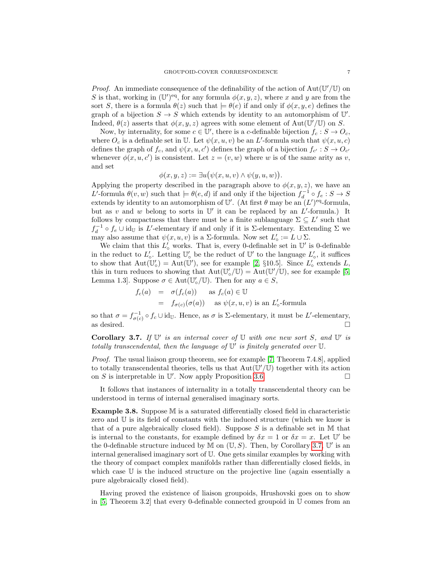*Proof.* An immediate consequence of the definability of the action of  $Aut(\mathbb{U}'/\mathbb{U})$  on S is that, working in  $(\mathbb{U}')^{\text{eq}}$ , for any formula  $\phi(x, y, z)$ , where x and y are from the sort S, there is a formula  $\theta(z)$  such that  $\models \theta(e)$  if and only if  $\phi(x, y, e)$  defines the graph of a bijection  $S \to S$  which extends by identity to an automorphism of  $\mathbb{U}'$ . Indeed,  $\theta(z)$  asserts that  $\phi(x, y, z)$  agrees with some element of Aut $(\mathbb{U}'/\mathbb{U})$  on S.

Now, by internality, for some  $c \in \mathbb{U}'$ , there is a c-definable bijection  $f_c : S \to O_c$ , where  $O_c$  is a definable set in U. Let  $\psi(x, u, v)$  be an L'-formula such that  $\psi(x, u, c)$ defines the graph of  $f_c$ , and  $\psi(x, u, c')$  defines the graph of a bijection  $f_{c'} : S \to O_{c'}$ whenever  $\phi(x, u, c')$  is consistent. Let  $z = (v, w)$  where w is of the same arity as v, and set

$$
\phi(x, y, z) := \exists u (\psi(x, u, v) \land \psi(y, u, w)).
$$

Applying the property described in the paragraph above to  $\phi(x, y, z)$ , we have an L'-formula  $\theta(v, w)$  such that  $\models \theta(e, d)$  if and only if the bijection  $f_d^{-1} \circ f_e : S \to S$ extends by identity to an automorphism of U'. (At first  $\theta$  may be an  $(L')<sup>eq</sup>$ -formula, but as v and w belong to sorts in  $\mathbb{U}'$  it can be replaced by an  $L'$ -formula.) It follows by compactness that there must be a finite sublanguage  $\Sigma \subseteq L'$  such that  $f_d^{-1} \circ f_e \cup id_{\mathbb{U}}$  is L'-elementary if and only if it is  $\Sigma$ -elementary. Extending  $\Sigma$  we may also assume that  $\psi(x, u, v)$  is a  $\Sigma$ -formula. Now set  $L'_{\circ} := L \cup \Sigma$ .

We claim that this  $L'_{\circ}$  works. That is, every 0-definable set in  $\mathbb{U}'$  is 0-definable in the reduct to  $L'_{\circ}$ . Letting  $\mathbb{U}'_{\circ}$  be the reduct of  $\mathbb{U}'$  to the language  $L'_{\circ}$ , it suffices to show that  $Aut(\mathbb{U}'_0) = Aut(\mathbb{U}')$ , see for example [\[2,](#page-27-8) §10.5]. Since  $L'_0$  extends L, this in turn reduces to showing that  $Aut(\mathbb{U}'_o/\mathbb{U}) = Aut(\mathbb{U}'/\mathbb{U})$ , see for example [\[5,](#page-27-4) Lemma 1.3]. Suppose  $\sigma \in \text{Aut}(\mathbb{U}'_o/\mathbb{U})$ . Then for any  $a \in S$ ,

$$
f_c(a) = \sigma(f_c(a)) \text{ as } f_c(a) \in \mathbb{U}
$$
  
=  $f_{\sigma(c)}(\sigma(a))$  as  $\psi(x, u, v)$  is an  $L'_o$ -formula

so that  $\sigma = f_{\sigma(c)}^{-1} \circ f_c \cup id_{\mathbb{U}}$ . Hence, as  $\sigma$  is  $\Sigma$ -elementary, it must be L'-elementary, as desired.  $\square$ 

<span id="page-6-0"></span>Corollary 3.7. If  $\mathbb{U}'$  is an internal cover of  $\mathbb U$  with one new sort S, and  $\mathbb{U}'$  is totally transcendental, then the language of  $\mathbb{U}'$  is finitely generated over  $\mathbb{U}$ .

Proof. The usual liaison group theorem, see for example [\[7,](#page-27-9) Theorem 7.4.8], applied to totally transcendental theories, tells us that  $Aut(\mathbb{U}'/\mathbb{U})$  together with its action on S is interpretable in U'. Now apply Proposition [3.6.](#page-5-1)

It follows that instances of internality in a totally transcendental theory can be understood in terms of internal generalised imaginary sorts.

Example 3.8. Suppose M is a saturated differentially closed field in characteristic zero and U is its field of constants with the induced structure (which we know is that of a pure algebraically closed field). Suppose  $S$  is a definable set in M that is internal to the constants, for example defined by  $\delta x = 1$  or  $\delta x = x$ . Let U' be the 0-definable structure induced by  $M$  on  $(\mathbb{U}, S)$ . Then, by Corollary [3.7,](#page-6-0)  $\mathbb{U}'$  is an internal generalised imaginary sort of U. One gets similar examples by working with the theory of compact complex manifolds rather than differentially closed fields, in which case U is the induced structure on the projective line (again essentially a pure algebraically closed field).

Having proved the existence of liaison groupoids, Hrushovski goes on to show in [\[5,](#page-27-4) Theorem 3.2] that every 0-definable connected groupoid in U comes from an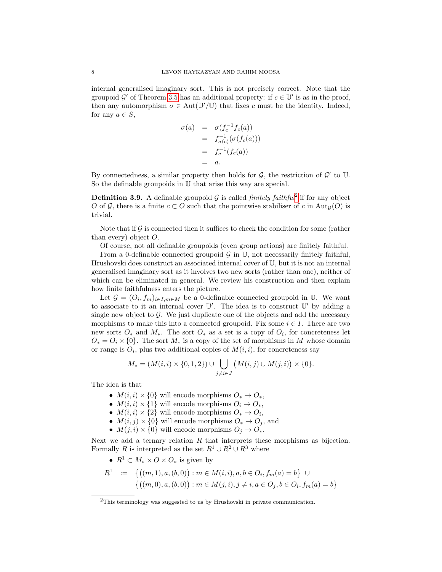internal generalised imaginary sort. This is not precisely correct. Note that the groupoid G' of Theorem [3.5](#page-5-2) has an additional property: if  $c \in U'$  is as in the proof, then any automorphism  $\sigma \in Aut(\mathbb{U}'/\mathbb{U})$  that fixes c must be the identity. Indeed, for any  $a \in S$ ,

$$
\begin{array}{rcl}\n\sigma(a) & = & \sigma(f_c^{-1}f_c(a)) \\
& = & f_{\sigma(c)}^{-1}(\sigma(f_c(a))) \\
& = & f_c^{-1}(f_c(a)) \\
& = & a.\n\end{array}
$$

By connectedness, a similar property then holds for  $G$ , the restriction of  $G'$  to  $U$ . So the definable groupoids in U that arise this way are special.

<span id="page-7-1"></span>**Definition 3.9.** A definable groupoid  $\mathcal{G}$  is called *finitely faithful*<sup>[2](#page-7-0)</sup> if for any object O of G, there is a finite  $c \subset O$  such that the pointwise stabiliser of c in Aut<sub>G</sub>(O) is trivial.

Note that if  $\mathcal G$  is connected then it suffices to check the condition for some (rather than every) object O.

Of course, not all definable groupoids (even group actions) are finitely faithful.

From a 0-definable connected groupoid  $\mathcal G$  in  $\mathbb U$ , not necessarily finitely faithful, Hrushovski does construct an associated internal cover of U, but it is not an internal generalised imaginary sort as it involves two new sorts (rather than one), neither of which can be eliminated in general. We review his construction and then explain how finite faithfulness enters the picture.

Let  $\mathcal{G} = (O_i, f_m)_{i \in I, m \in M}$  be a 0-definable connected groupoid in U. We want to associate to it an internal cover  $\mathbb{U}'$ . The idea is to construct  $\mathbb{U}'$  by adding a single new object to  $\mathcal G$ . We just duplicate one of the objects and add the necessary morphisms to make this into a connected groupoid. Fix some  $i \in I$ . There are two new sorts  $O_*$  and  $M_*$ . The sort  $O_*$  as a set is a copy of  $O_i$ , for concreteness let  $O_* = O_i \times \{0\}$ . The sort  $M_*$  is a copy of the set of morphisms in M whose domain or range is  $O_i$ , plus two additional copies of  $M(i, i)$ , for concreteness say

$$
M_* = (M(i,i) \times \{0,1,2\}) \cup \bigcup_{j \neq i \in J} (M(i,j) \cup M(j,i)) \times \{0\}.
$$

The idea is that

- $M(i, i) \times \{0\}$  will encode morphisms  $O_* \to O_*,$
- $M(i, i) \times \{1\}$  will encode morphisms  $O_i \rightarrow O_*,$
- $M(i, i) \times \{2\}$  will encode morphisms  $O_* \to O_i$ ,
- $M(i, j) \times \{0\}$  will encode morphisms  $O_* \to O_j$ , and
- $M(j, i) \times \{0\}$  will encode morphisms  $O_j \to O_*$ .

Next we add a ternary relation  $R$  that interprets these morphisms as bijection. Formally R is interpreted as the set  $R^1 \cup R^2 \cup R^3$  where

•  $R^1 \subset M_* \times O \times O_*$  is given by

$$
R^1 := \{ ((m, 1), a, (b, 0)) : m \in M(i, i), a, b \in O_i, f_m(a) = b \} \cup \{ ((m, 0), a, (b, 0)) : m \in M(j, i), j \neq i, a \in O_j, b \in O_i, f_m(a) = b \}
$$

<span id="page-7-0"></span><sup>&</sup>lt;sup>2</sup>This terminology was suggested to us by Hrushovski in private communication.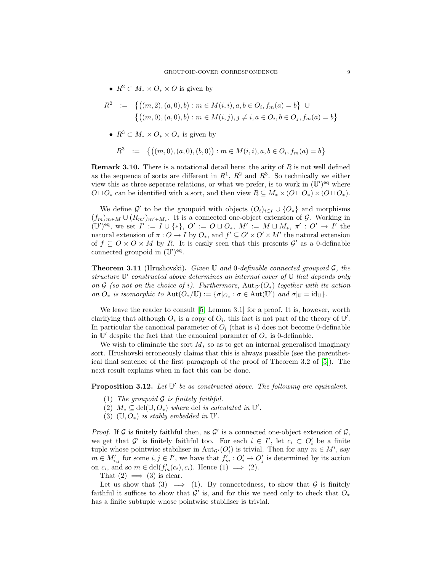•  $R^2 \subset M_* \times O_* \times O$  is given by

$$
R^2 := \{ ((m, 2), (a, 0), b) : m \in M(i, i), a, b \in O_i, f_m(a) = b \} \cup \{ ((m, 0), (a, 0), b) : m \in M(i, j), j \neq i, a \in O_i, b \in O_j, f_m(a) = b \}
$$

•  $R^3 \subset M_* \times O_* \times O_*$  is given by

$$
R^3 \quad := \quad \left\{ \big( (m, 0), (a, 0), (b, 0) \big) : m \in M(i, i), a, b \in O_i, f_m(a) = b \right\}
$$

**Remark 3.10.** There is a notational detail here: the arity of  $R$  is not well defined as the sequence of sorts are different in  $R^1$ ,  $R^2$  and  $R^3$ . So technically we either view this as three seperate relations, or what we prefer, is to work in  $(\mathbb{U}')^{\text{eq}}$  where  $O \sqcup O_*$  can be identified with a sort, and then view  $R \subseteq M_* \times (O \sqcup O_*) \times (O \sqcup O_*).$ 

We define  $\mathcal{G}'$  to be the groupoid with objects  $(O_i)_{i\in I} \cup \{O_*\}$  and morphisms  $(f_m)_{m \in M} \cup (R_{m'})_{m' \in M_*}$ . It is a connected one-object extension of G. Working in  $(\mathbb{U}')^{\text{eq}},$  we set  $I' := I \cup \{*\}, O' := O \sqcup O_*, M' := M \sqcup M_*, \pi' : O' \to I'$  the natural extension of  $\pi: O \to I$  by  $O_*$ , and  $f' \subseteq O' \times O' \times M'$  the natural extension of  $f \subseteq O \times O \times M$  by R. It is easily seen that this presents  $\mathcal{G}'$  as a 0-definable connected groupoid in  $(\mathbb{U}')^{\text{eq}}$ .

<span id="page-8-0"></span>**Theorem 3.11** (Hrushovski). Given U and 0-definable connected groupoid  $\mathcal{G}$ , the structure  $\mathbb{U}'$  constructed above determines an internal cover of  $\mathbb U$  that depends only on G (so not on the choice of i). Furthermore,  $Aut_{G'}(O_*)$  together with its action on  $O_*$  is isomorphic to  $\text{Aut}(O_*/\mathbb{U}) := {\{\sigma|_{O_*} : \sigma \in \text{Aut}(\mathbb{U}^{\prime}) \text{ and } \sigma|_{\mathbb{U}} = \text{id}_{\mathbb{U}}\}}.$ 

We leave the reader to consult [\[5,](#page-27-4) Lemma 3.1] for a proof. It is, however, worth clarifying that although  $O_*$  is a copy of  $O_i$ , this fact is not part of the theory of  $\mathbb{U}'$ . In particular the canonical parameter of  $O_i$  (that is i) does not become 0-definable in  $\mathbb{U}'$  despite the fact that the canonical paramter of  $O_*$  is 0-definable.

We wish to eliminate the sort  $M_*$  so as to get an internal generalised imaginary sort. Hrushovski erroneously claims that this is always possible (see the parenthetical final sentence of the first paragraph of the proof of Theorem 3.2 of [\[5\]](#page-27-4)). The next result explains when in fact this can be done.

<span id="page-8-1"></span>**Proposition 3.12.** Let  $\mathbb{U}'$  be as constructed above. The following are equivalent.

- (1) The groupoid  $\mathcal G$  is finitely faithful.
- (2)  $M_* \subseteq \text{dcl}(\mathbb{U}, O_*)$  where dcl is calculated in  $\mathbb{U}'$ .
- (3)  $(\mathbb{U}, O_*)$  is stably embedded in  $\mathbb{U}'$ .

*Proof.* If G is finitely faithful then, as  $\mathcal{G}'$  is a connected one-object extension of  $\mathcal{G}$ , we get that  $\mathcal{G}'$  is finitely faithful too. For each  $i \in I'$ , let  $c_i \subset O'_i$  be a finite tuple whose pointwise stabiliser in  $\text{Aut}_{\mathcal{G}'}(O_i')$  is trivial. Then for any  $m \in M'$ , say  $m \in M'_{i,j}$  for some  $i, j \in I'$ , we have that  $f'_m : O'_i \to O'_j$  is determined by its action on  $c_i$ , and so  $m \in \text{dcl}(f'_m(c_i), c_i)$ . Hence  $(1) \implies (2)$ .

That  $(2) \implies (3)$  is clear.

Let us show that (3)  $\implies$  (1). By connectedness, to show that G is finitely faithful it suffices to show that  $\mathcal{G}'$  is, and for this we need only to check that  $O_*$ has a finite subtuple whose pointwise stabiliser is trivial.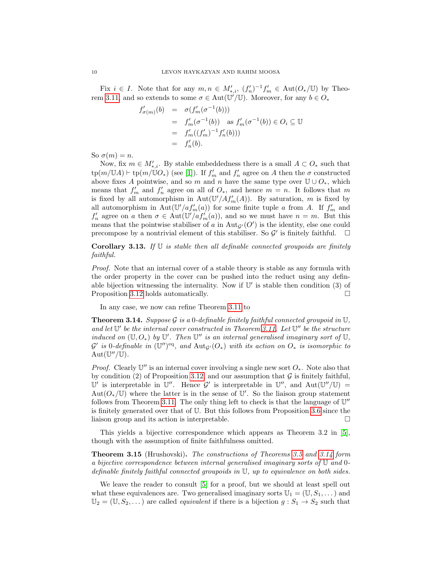Fix  $i \in I$ . Note that for any  $m, n \in M'_{*,i}$ ,  $(f'_n)^{-1} f'_m \in \text{Aut}(O_*/\mathbb{U})$  by Theo-rem [3.11,](#page-8-0) and so extends to some  $\sigma \in \text{Aut}(\mathbb{U}'/\mathbb{U})$ . Moreover, for any  $b \in O_*$ 

$$
f'_{\sigma(m)}(b) = \sigma(f'_m(\sigma^{-1}(b)))
$$
  
=  $f'_m(\sigma^{-1}(b))$  as  $f'_m(\sigma^{-1}(b)) \in O_i \subseteq \mathbb{U}$   
=  $f'_m((f'_m)^{-1}f'_n(b)))$   
=  $f'_n(b)$ .

So  $\sigma(m) = n$ .

Now, fix  $m \in M'_{*,i}$ . By stable embeddedness there is a small  $A \subset O_*$  such that  $\text{tp}(m/\mathbb{U} A) \vdash \text{tp}(m/\mathbb{U} O_*)$  (see [\[1\]](#page-27-6)). If  $f'_m$  and  $f'_n$  agree on A then the  $\sigma$  constructed above fixes A pointwise, and so m and n have the same type over  $\mathbb{U} \cup O_*,$  which means that  $f'_m$  and  $f'_n$  agree on all of  $O_*,$  and hence  $m = n$ . It follows that m is fixed by all automorphism in  $\text{Aut}(\mathbb{U}'/Af_m'(A))$ . By saturation, m is fixed by all automorphism in Aut $(\mathbb{U}/af'_m(a))$  for some finite tuple a from A. If  $f'_m$  and  $f'_n$  agree on a then  $\sigma \in \text{Aut}(\mathbb{U}/af'_m(a))$ , and so we must have  $n = m$ . But this means that the pointwise stabiliser of a in  $\text{Aut}_{\mathcal{G}}(O')$  is the identity, else one could precompose by a nontrivial element of this stabiliser. So  $\mathcal{G}'$  is finitely faithful.  $\Box$ 

**Corollary 3.13.** If  $\mathbb U$  is stable then all definable connected groupoids are finitely faithful.

Proof. Note that an internal cover of a stable theory is stable as any formula with the order property in the cover can be pushed into the reduct using any definable bijection witnessing the internality. Now if  $\mathbb{U}'$  is stable then condition (3) of Proposition [3.12](#page-8-1) holds automatically.

In any case, we now can refine Theorem [3.11](#page-8-0) to

<span id="page-9-0"></span>**Theorem 3.14.** Suppose G is a 0-definable finitely faithful connected groupoid in  $\mathbb{U}$ , and let  $\mathbb{U}'$  be the internal cover constructed in Theorem [3.11.](#page-8-0) Let  $\mathbb{U}''$  be the structure induced on  $(\mathbb{U}, O_*)$  by  $\mathbb{U}'$ . Then  $\mathbb{U}''$  is an internal generalised imaginary sort of  $\mathbb{U}$ ,  $\mathcal{G}'$  is 0-definable in  $(\mathbb{U}'')^{\text{eq}}$ , and  $\text{Aut}_{\mathcal{G}'}(O_*)$  with its action on  $O_*$  is isomorphic to  $Aut(\mathbb{U}''/\mathbb{U}).$ 

*Proof.* Clearly  $\mathbb{U}''$  is an internal cover involving a single new sort  $O_*$ . Note also that by condition (2) of Proposition [3.12,](#page-8-1) and our assumption that  $\mathcal G$  is finitely faithful, U' is interpretable in U''. Hence  $\mathcal{G}'$  is interpretable in U'', and  $Aut(\mathbb{U}''/\mathbb{U}) =$  $Aut(O_*/\mathbb{U})$  where the latter is in the sense of  $\mathbb{U}'$ . So the liaison group statement follows from Theorem [3.11.](#page-8-0) The only thing left to check is that the language of  $\mathbb{U}''$ is finitely generated over that of U. But this follows from Proposition [3.6](#page-5-1) since the liaison group and its action is interpretable.

This yields a bijective correspondence which appears as Theorem 3.2 in [\[5\]](#page-27-4), though with the assumption of finite faithfulness omitted.

<span id="page-9-1"></span>Theorem 3.15 (Hrushovski). The constructions of Theorems [3.5](#page-5-2) and [3.14](#page-9-0) form a bijective correspondence between internal generalised imaginary sorts of U and 0 definable finitely faithful connected groupoids in  $\mathbb U$ , up to equivalence on both sides.

We leave the reader to consult [\[5\]](#page-27-4) for a proof, but we should at least spell out what these equivalences are. Two generalised imaginary sorts  $\mathbb{U}_1 = (\mathbb{U}, S_1, \dots)$  and  $\mathbb{U}_2 = (\mathbb{U}, S_2, \dots)$  are called *equivalent* if there is a bijection  $g : S_1 \to S_2$  such that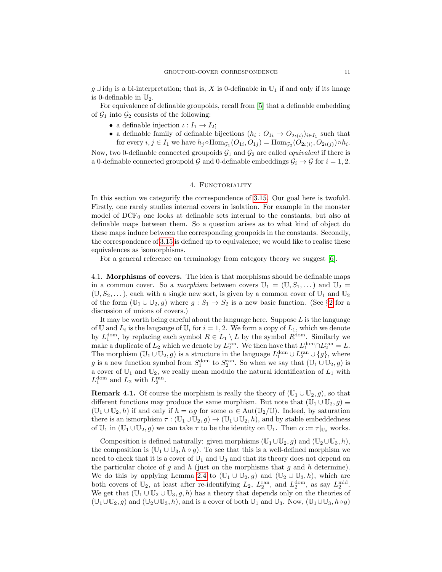$g \cup id_{\mathbb{U}}$  is a bi-interpretation; that is, X is 0-definable in  $\mathbb{U}_1$  if and only if its image is 0-definable in  $\mathbb{U}_2$ .

For equivalence of definable groupoids, recall from [\[5\]](#page-27-4) that a definable embedding of  $\mathcal{G}_1$  into  $\mathcal{G}_2$  consists of the following:

- a definable injection  $\iota : I_1 \to I_2$ ;
- a definable family of definable bijections  $(h_i: O_{1i} \to O_{2\iota(i)})_{i \in I_1}$  such that for every  $i, j \in I_1$  we have  $h_j \circ \text{Hom}_{\mathcal{G}_1}(O_{1i}, O_{1j}) = \text{Hom}_{\mathcal{G}_2}(O_{2\iota(i)}, O_{2\iota(j)}) \circ h_i$ .

Now, two 0-definable connected groupoids  $G_1$  and  $G_2$  are called *equivalent* if there is a 0-definable connected groupoid G and 0-definable embeddings  $G_i \rightarrow G$  for  $i = 1, 2$ .

## 4. FUNCTORIALITY

<span id="page-10-0"></span>In this section we categorify the correspondence of [3.15.](#page-9-1) Our goal here is twofold. Firstly, one rarely studies internal covers in isolation. For example in the monster model of  $DCF_0$  one looks at definable sets internal to the constants, but also at definable maps between them. So a question arises as to what kind of object do these maps induce between the corresponding groupoids in the constants. Secondly, the correspondence of [3.15](#page-9-1) is defined up to equivalence; we would like to realise these equivalences as isomorphisms.

For a general reference on terminology from category theory we suggest [\[6\]](#page-27-10).

<span id="page-10-1"></span>4.1. Morphisms of covers. The idea is that morphisms should be definable maps in a common cover. So a *morphism* between covers  $\mathbb{U}_1 = (\mathbb{U}, S_1, \dots)$  and  $\mathbb{U}_2 =$  $(\mathbb{U}, S_2, \dots)$ , each with a single new sort, is given by a common cover of  $\mathbb{U}_1$  and  $\mathbb{U}_2$ of the form  $(\mathbb{U}_1 \cup \mathbb{U}_2, g)$  $(\mathbb{U}_1 \cup \mathbb{U}_2, g)$  $(\mathbb{U}_1 \cup \mathbb{U}_2, g)$  where  $g : S_1 \to S_2$  is a new basic function. (See §2 for a discussion of unions of covers.)

It may be worth being careful about the language here. Suppose  $L$  is the language of U and  $L_i$  is the language of  $\mathbb{U}_i$  for  $i = 1, 2$ . We form a copy of  $L_1$ , which we denote by  $L_1^{\text{dom}}$ , by replacing each symbol  $R \in L_1 \setminus L$  by the symbol  $R^{\text{dom}}$ . Similarly we make a duplicate of  $L_2$  which we denote by  $L_2^{\text{ran}}$ . We then have that  $L_1^{\text{dom}} \cap L_2^{\text{ran}} = L$ . The morphism  $(\mathbb{U}_1 \cup \mathbb{U}_2, g)$  is a structure in the language  $L_1^{\text{dom}} \cup L_2^{\text{ran}} \cup \{g\}$ , where g is a new function symbol from  $S_1^{\text{dom}}$  to  $S_2^{\text{ran}}$ . So when we say that  $(\mathbb{U}_1 \cup \mathbb{U}_2, g)$  is a cover of  $\mathbb{U}_1$  and  $\mathbb{U}_2$ , we really mean modulo the natural identification of  $L_1$  with  $L_1^{\text{dom}}$  and  $L_2$  with  $L_2^{\text{ran}}$ .

<span id="page-10-2"></span>**Remark 4.1.** Of course the morphism is really the theory of  $(\mathbb{U}_1 \cup \mathbb{U}_2, g)$ , so that different functions may produce the same morphism. But note that  $(\mathbb{U}_1 \cup \mathbb{U}_2, g) \equiv$  $(\mathbb{U}_1 \cup \mathbb{U}_2, h)$  if and only if  $h = \alpha g$  for some  $\alpha \in \text{Aut}(\mathbb{U}_2/\mathbb{U})$ . Indeed, by saturation there is an ismorphism  $\tau : (\mathbb{U}_1 \cup \mathbb{U}_2, g) \to (\mathbb{U}_1 \cup \mathbb{U}_2, h)$ , and by stable embeddedness of  $\mathbb{U}_1$  in  $(\mathbb{U}_1 \cup \mathbb{U}_2, g)$  we can take  $\tau$  to be the identity on  $\mathbb{U}_1$ . Then  $\alpha := \tau|_{\mathbb{U}_2}$  works.

Composition is defined naturally: given morphisms  $(\mathbb{U}_1 \cup \mathbb{U}_2, g)$  and  $(\mathbb{U}_2 \cup \mathbb{U}_3, h)$ , the composition is  $(\mathbb{U}_1 \cup \mathbb{U}_3, h \circ g)$ . To see that this is a well-defined morphism we need to check that it is a cover of  $\mathbb{U}_1$  and  $\mathbb{U}_3$  and that its theory does not depend on the particular choice of g and h (just on the morphisms that g and h determine). We do this by applying Lemma [2.4](#page-3-1) to  $(\mathbb{U}_1 \cup \mathbb{U}_2,g)$  and  $(\mathbb{U}_2 \cup \mathbb{U}_3,h)$ , which are both covers of  $\mathbb{U}_2$ , at least after re-identifying  $L_2$ ,  $L_2^{\text{ran}}$ , and  $L_2^{\text{dom}}$ , as say  $L_2^{\text{mid}}$ . We get that  $(\mathbb{U}_1 \cup \mathbb{U}_2 \cup \mathbb{U}_3, g, h)$  has a theory that depends only on the theories of  $(\mathbb{U}_1\cup\mathbb{U}_2,g)$  and  $(\mathbb{U}_2\cup\mathbb{U}_3,h)$ , and is a cover of both  $\mathbb{U}_1$  and  $\mathbb{U}_3$ . Now,  $(\mathbb{U}_1\cup\mathbb{U}_3,h\circ g)$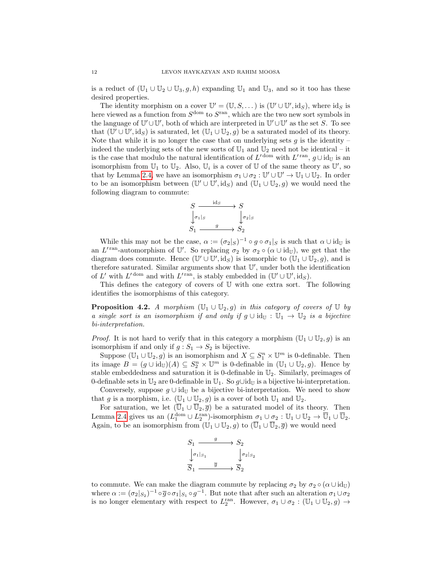is a reduct of  $(\mathbb{U}_1 \cup \mathbb{U}_2 \cup \mathbb{U}_3, g, h)$  expanding  $\mathbb{U}_1$  and  $\mathbb{U}_3$ , and so it too has these desired properties.

The identity morphism on a cover  $\mathbb{U}' = (\mathbb{U}, S, \dots)$  is  $(\mathbb{U}' \cup \mathbb{U}', id_S)$ , where  $id_S$  is here viewed as a function from  $S^{\text{dom}}$  to  $S^{\text{ran}}$ , which are the two new sort symbols in the language of  $\mathbb{U}'\cup\mathbb{U}'$ , both of which are interpreted in  $\mathbb{U}'\cup\mathbb{U}'$  as the set S. To see that  $(\mathbb{U}' \cup \mathbb{U}', \text{id}_S)$  is saturated, let  $(\mathbb{U}_1 \cup \mathbb{U}_2, g)$  be a saturated model of its theory. Note that while it is no longer the case that on underlying sets  $g$  is the identity – indeed the underlying sets of the new sorts of  $\mathbb{U}_1$  and  $\mathbb{U}_2$  need not be identical – it is the case that modulo the natural identification of  $L'$ <sup>dom</sup> with  $L'$ <sup>ran</sup>,  $g \cup id_{\mathbb{U}}$  is an isomorphism from  $\mathbb{U}_1$  to  $\mathbb{U}_2$ . Also,  $\mathbb{U}_i$  is a cover of  $\mathbb{U}$  of the same theory as  $\mathbb{U}'$ , so that by Lemma [2.4,](#page-3-1) we have an isomorphism  $\sigma_1 \cup \sigma_2 : \mathbb{U}' \cup \mathbb{U}' \to \mathbb{U}_1 \cup \mathbb{U}_2$ . In order to be an isomorphism between  $(\mathbb{U}' \cup \mathbb{U}', \mathrm{id}_S)$  and  $(\mathbb{U}_1 \cup \mathbb{U}_2, g)$  we would need the following diagram to commute:



While this may not be the case,  $\alpha := (\sigma_2|_S)^{-1} \circ g \circ \sigma_1|_S$  is such that  $\alpha \cup id_{\mathbb{U}}$  is an L'<sup>ran</sup>-automorphism of U'. So replacing  $\sigma_2$  by  $\sigma_2 \circ (\alpha \cup id_{\mathbb{U}})$ , we get that the diagram does commute. Hence  $(\mathbb{U}' \cup \mathbb{U}', \mathrm{id}_S)$  is isomorphic to  $(\mathbb{U}_1 \cup \mathbb{U}_2, g)$ , and is therefore saturated. Similar arguments show that  $\mathbb{U}'$ , under both the identification of L' with  $L'$ <sup>dom</sup> and with  $L'$ <sup>ran</sup>, is stably embedded in  $(\mathbb{U}' \cup \mathbb{U}', \text{id}_S)$ .

This defines the category of covers of U with one extra sort. The following identifies the isomorphisms of this category.

<span id="page-11-0"></span>**Proposition 4.2.** A morphism  $(\mathbb{U}_1 \cup \mathbb{U}_2, q)$  in this category of covers of  $\mathbb{U}$  by a single sort is an isomorphism if and only if  $g \cup id_{\mathbb{U}} : \mathbb{U}_1 \to \mathbb{U}_2$  is a bijective bi-interpretation.

*Proof.* It is not hard to verify that in this category a morphism  $(\mathbb{U}_1 \cup \mathbb{U}_2, g)$  is an isomorphism if and only if  $g : S_1 \to S_2$  is bijective.

Suppose  $(\mathbb{U}_1 \cup \mathbb{U}_2, g)$  is an isomorphism and  $X \subseteq S_1^n \times \mathbb{U}^m$  is 0-definable. Then its image  $B = (g \cup id_{\mathbb{U}})(A) \subseteq S_2^n \times \mathbb{U}^m$  is 0-definable in  $(\mathbb{U}_1 \cup \mathbb{U}_2, g)$ . Hence by stable embeddedness and saturation it is 0-definable in  $\mathbb{U}_2$ . Similarly, preimages of 0-definable sets in  $\mathbb{U}_2$  are 0-definable in  $\mathbb{U}_1$ . So  $g\cup id_{\mathbb{U}}$  is a bijective bi-interpretation.

Conversely, suppose  $g \cup id_{\mathbb{U}}$  be a bijective bi-interpretation. We need to show that g is a morphism, i.e.  $(\mathbb{U}_1 \cup \mathbb{U}_2, g)$  is a cover of both  $\mathbb{U}_1$  and  $\mathbb{U}_2$ .

For saturation, we let  $(\overline{\mathbb{U}}_1 \cup \overline{\mathbb{U}}_2, \overline{g})$  be a saturated model of its theory. Then Lemma [2.4](#page-3-1) gives us an  $(L_1^{\text{dom}} \cup L_2^{\text{ran}})$ -isomorphism  $\sigma_1 \cup \sigma_2 : \mathbb{U}_1 \cup \mathbb{U}_2 \to \overline{\mathbb{U}}_1 \cup \overline{\mathbb{U}}_2$ . Again, to be an isomorphism from  $(\mathbb{U}_1 \cup \mathbb{U}_2, g)$  to  $(\overline{\mathbb{U}}_1 \cup \overline{\mathbb{U}}_2, \overline{g})$  we would need

$$
\begin{array}{ccc}\nS_1 & \xrightarrow{g} & S_2 \\
\downarrow \sigma_1|_{S_1} & & \downarrow \sigma_2|_{S_2} \\
\hline\nS_1 & \xrightarrow{\overline{g}} & \overline{S}_2\n\end{array}
$$

to commute. We can make the diagram commute by replacing  $\sigma_2$  by  $\sigma_2 \circ (\alpha \cup id_{\mathbb{U}})$ where  $\alpha := (\sigma_2|_{S_2})^{-1} \circ \overline{g} \circ \sigma_1|_{S_1} \circ g^{-1}$ . But note that after such an alteration  $\sigma_1 \cup \sigma_2$ is no longer elementary with respect to  $L_2^{\text{ran}}$ . However,  $\sigma_1 \cup \sigma_2 : (\mathbb{U}_1 \cup \mathbb{U}_2, g) \to$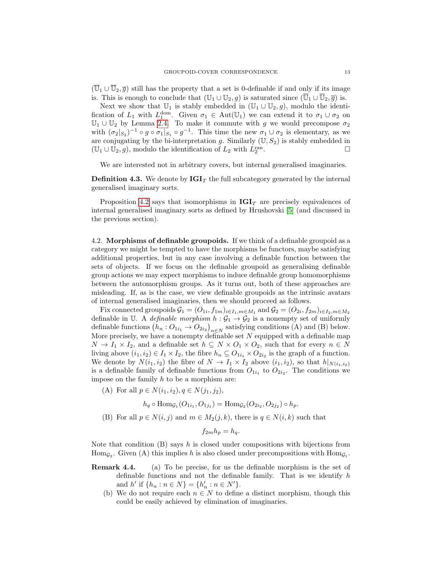$(\overline{U}_1 \cup \overline{U}_2, \overline{g})$  still has the property that a set is 0-definable if and only if its image is. This is enough to conclude that  $(\mathbb{U}_1 \cup \mathbb{U}_2, g)$  is saturated since  $(\overline{\mathbb{U}}_1 \cup \overline{\mathbb{U}}_2, \overline{g})$  is.

Next we show that  $\mathbb{U}_1$  is stably embedded in  $(\mathbb{U}_1 \cup \mathbb{U}_2, g)$ , modulo the identification of  $L_1$  with  $L_1^{\text{dom}}$ . Given  $\sigma_1 \in \text{Aut}(\mathbb{U}_1)$  we can extend it to  $\sigma_1 \cup \sigma_2$  on  $\mathbb{U}_1 \cup \mathbb{U}_2$  by Lemma [2.4.](#page-3-1) To make it commute with g we would precompose  $\sigma_2$ with  $(\sigma_2|_{S_2})^{-1} \circ g \circ \sigma_1|_{S_1} \circ g^{-1}$ . This time the new  $\sigma_1 \cup \sigma_2$  is elementary, as we are conjugating by the bi-interpretation g. Similarly  $(U, S_2)$  is stably embedded in  $(\mathbb{U}_1 \cup \mathbb{U}_2, g)$ , modulo the identification of  $L_2$  with  $L_2^{\text{ran}}$ .

We are interested not in arbitrary covers, but internal generalised imaginaries.

**Definition 4.3.** We denote by  $\text{IGI}_T$  the full subcategory generated by the internal generalised imaginary sorts.

Proposition [4.2](#page-11-0) says that isomorphisms in  $IGI<sub>T</sub>$  are precisely equivalences of internal generalised imaginary sorts as defined by Hrushovski [\[5\]](#page-27-4) (and discussed in the previous section).

<span id="page-12-0"></span>4.2. Morphisms of definable groupoids. If we think of a definable groupoid as a category we might be tempted to have the morphisms be functors, maybe satisfying additional properties, but in any case involving a definable function between the sets of objects. If we focus on the definable groupoid as generalising definable group actions we may expect morphisms to induce definable group homomorphisms between the automorphism groups. As it turns out, both of these approaches are misleading. If, as is the case, we view definable groupoids as the intrinsic avatars of internal generalised imaginaries, then we should proceed as follows.

Fix connected groupoids  $\mathcal{G}_1 = (O_{1i}, f_{1m})_{i \in I_1, m \in M_1}$  and  $\mathcal{G}_2 = (O_{2i}, f_{2m})_{i \in I_2, m \in M_2}$ definable in U. A *definable morphism*  $h : \mathcal{G}_1 \to \mathcal{G}_2$  is a nonempty set of uniformly definable functions  $(h_n: O_{1i_1} \to O_{2i_2})_{n \in N}$  satisfying conditions (A) and (B) below. More precisely, we have a nonempty definable set  $N$  equipped with a definable map  $N \to I_1 \times I_2$ , and a definable set  $h \subseteq N \times O_1 \times O_2$ , such that for every  $n \in N$ living above  $(i_1, i_2) \in I_1 \times I_2$ , the fibre  $h_n \subseteq O_{1i_1} \times O_{2i_2}$  is the graph of a function. We denote by  $N(i_1, i_2)$  the fibre of  $N \to I_1 \times I_2$  above  $(i_1, i_2)$ , so that  $h|_{N(i_1, i_2)}$ is a definable family of definable functions from  $O_{1i_1}$  to  $O_{2i_2}$ . The conditions we impose on the family  $h$  to be a morphism are:

(A) For all  $p \in N(i_1, i_2), q \in N(j_1, j_2),$ 

 $h_q \circ \text{Hom}_{\mathcal{G}_1}(O_{1i_1}, O_{1j_1}) = \text{Hom}_{\mathcal{G}_2}(O_{2i_2}, O_{2j_2}) \circ h_p.$ 

(B) For all  $p \in N(i, j)$  and  $m \in M_2(j, k)$ , there is  $q \in N(i, k)$  such that

$$
f_{2m}h_p = h_q.
$$

Note that condition  $(B)$  says h is closed under compositions with bijections from  $\text{Hom}_{\mathcal{G}_2}$ . Given (A) this implies h is also closed under precompositions with  $\text{Hom}_{\mathcal{G}_1}$ .

- **Remark 4.4.** (a) To be precise, for us the definable morphism is the set of definable functions and not the definable family. That is we identify  $h$ and  $h'$  if  $\{h_n : n \in N\} = \{h'_n : n \in N'\}.$ 
	- (b) We do not require each  $n \in N$  to define a distinct morphism, though this could be easily achieved by elimination of imaginaries.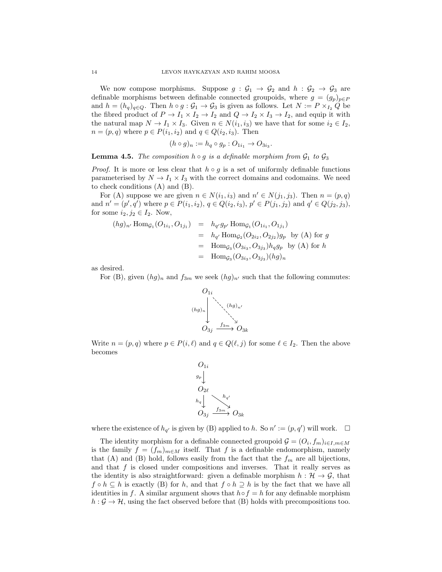We now compose morphisms. Suppose  $g : \mathcal{G}_1 \to \mathcal{G}_2$  and  $h : \mathcal{G}_2 \to \mathcal{G}_3$  are definable morphisms between definable connected groupoids, where  $g = (g_p)_{p \in P}$ and  $h = (h_q)_{q \in Q}$ . Then  $h \circ g : \mathcal{G}_1 \to \mathcal{G}_3$  is given as follows. Let  $N := P \times_{I_2} Q$  be the fibred product of  $P \to I_1 \times I_2 \to I_2$  and  $Q \to I_2 \times I_3 \to I_2$ , and equip it with the natural map  $N \to I_1 \times I_3$ . Given  $n \in N(i_1, i_3)$  we have that for some  $i_2 \in I_2$ ,  $n = (p, q)$  where  $p \in P(i_1, i_2)$  and  $q \in Q(i_2, i_3)$ . Then

$$
(h \circ g)_n := h_q \circ g_p : O_{1i_1} \to O_{3i_3}.
$$

**Lemma 4.5.** The composition  $h \circ g$  is a definable morphism from  $\mathcal{G}_1$  to  $\mathcal{G}_3$ 

*Proof.* It is more or less clear that  $h \circ g$  is a set of uniformly definable functions parameterised by  $N \to I_1 \times I_3$  with the correct domains and codomains. We need to check conditions (A) and (B).

For (A) suppose we are given  $n \in N(i_1, i_3)$  and  $n' \in N(j_1, j_3)$ . Then  $n = (p, q)$ and  $n' = (p', q')$  where  $p \in P(i_1, i_2), q \in Q(i_2, i_3), p' \in P(j_1, j_2)$  and  $q' \in Q(j_2, j_3)$ , for some  $i_2, j_2 \in I_2$ . Now,

$$
(hg)_{n'}\text{Hom}_{\mathcal{G}_1}(O_{1i_1}, O_{1j_1}) = h_{q'}g_{p'}\text{Hom}_{\mathcal{G}_1}(O_{1i_1}, O_{1j_1})
$$
  
\n
$$
= h_{q'}\text{Hom}_{\mathcal{G}_2}(O_{2i_2}, O_{2j_2})g_p \text{ by (A) for } g
$$
  
\n
$$
= \text{Hom}_{\mathcal{G}_3}(O_{3i_3}, O_{3j_3})h_qg_p \text{ by (A) for } h
$$
  
\n
$$
= \text{Hom}_{\mathcal{G}_3}(O_{3i_3}, O_{3j_3})(hg)_n
$$

as desired.

For (B), given  $(hg)_n$  and  $f_{3m}$  we seek  $(hg)_{n'}$  such that the following commutes:



Write  $n = (p, q)$  where  $p \in P(i, \ell)$  and  $q \in Q(\ell, j)$  for some  $\ell \in I_2$ . Then the above becomes



where the existence of  $h_{q'}$  is given by (B) applied to h. So  $n' := (p, q')$  will work.  $\Box$ 

The identity morphism for a definable connected groupoid  $\mathcal{G} = (O_i, f_m)_{i \in I, m \in M}$ is the family  $f = (f_m)_{m \in M}$  itself. That f is a definable endomorphism, namely that (A) and (B) hold, follows easily from the fact that the  $f_m$  are all bijections, and that  $f$  is closed under compositions and inverses. That it really serves as the identity is also straightforward: given a definable morphism  $h : \mathcal{H} \to \mathcal{G}$ , that  $f \circ h \subseteq h$  is exactly (B) for h, and that  $f \circ h \supseteq h$  is by the fact that we have all identities in f. A similar argument shows that  $h \circ f = h$  for any definable morphism  $h : \mathcal{G} \to \mathcal{H}$ , using the fact observed before that (B) holds with precompositions too.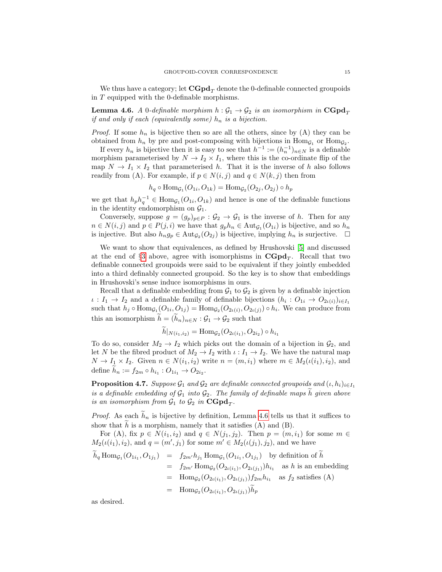We thus have a category; let  $\mathbf{CGpd}_{T}$  denote the 0-definable connected groupoids in T equipped with the 0-definable morphisms.

<span id="page-14-0"></span>**Lemma 4.6.** A 0-definable morphism  $h : \mathcal{G}_1 \to \mathcal{G}_2$  is an isomorphism in  $\mathbf{CGpd}_T$ if and only if each (equivalently some)  $h_n$  is a bijection.

*Proof.* If some  $h_n$  is bijective then so are all the others, since by (A) they can be obtained from  $h_n$  by pre and post-composing with bijections in  $\text{Hom}_{\mathcal{G}_1}$  or  $\text{Hom}_{\mathcal{G}_2}$ .

If every  $h_n$  is bijective then it is easy to see that  $h^{-1} := (h_n^{-1})_{n \in N}$  is a definable morphism parameterised by  $N \to I_2 \times I_1$ , where this is the co-ordinate flip of the map  $N \to I_1 \times I_2$  that parameterised h. That it is the inverse of h also follows readily from (A). For example, if  $p \in N(i, j)$  and  $q \in N(k, j)$  then from

$$
h_q \circ \text{Hom}_{\mathcal{G}_1}(O_{1i}, O_{1k}) = \text{Hom}_{\mathcal{G}_2}(O_{2j}, O_{2j}) \circ h_p
$$

we get that  $h_p h_q^{-1} \in \text{Hom}_{\mathcal{G}_1}(O_{1i}, O_{1k})$  and hence is one of the definable functions in the identity endomorphism on  $\mathcal{G}_1$ .

Conversely, suppose  $g = (g_p)_{p \in P} : \mathcal{G}_2 \to \mathcal{G}_1$  is the inverse of h. Then for any  $n \in N(i, j)$  and  $p \in P(j, i)$  we have that  $g_p h_n \in \text{Aut}_{\mathcal{G}_1}(O_{1i})$  is bijective, and so  $h_n$ is injective. But also  $h_n g_p \in \text{Aut}_{\mathcal{G}_2}(O_{2j})$  is bijective, implying  $h_n$  is surjective.  $\Box$ 

We want to show that equivalences, as defined by Hrushovski [\[5\]](#page-27-4) and discussed at the end of  $\S 3$  $\S 3$  above, agree with isomorphisms in  $\mathbf{CGpd}_T$ . Recall that two definable connected groupoids were said to be equivalent if they jointly embedded into a third definably connected groupoid. So the key is to show that embeddings in Hrushovski's sense induce isomorphisms in ours.

Recall that a definable embedding from  $\mathcal{G}_1$  to  $\mathcal{G}_2$  is given by a definable injection  $\iota: I_1 \to I_2$  and a definable family of definable bijections  $(h_i: O_{1i} \to O_{2\iota(i)})_{i \in I_1}$ such that  $h_j \circ \text{Hom}_{\mathcal{G}_1}(O_{1i}, O_{1j}) = \text{Hom}_{\mathcal{G}_2}(O_{2\iota(i)}, O_{2\iota(j)}) \circ h_i$ . We can produce from this an isomorphism  $\tilde{h} = (\tilde{h}_n)_{n \in N} : \mathcal{G}_1 \to \mathcal{G}_2$  such that

$$
h|_{N(i_1,i_2)} = \text{Hom}_{\mathcal{G}_2}(O_{2\iota(i_1)}, O_{2i_2}) \circ h_{i_1}
$$

To do so, consider  $M_2 \rightarrow I_2$  which picks out the domain of a bijection in  $\mathcal{G}_2$ , and let N be the fibred product of  $M_2 \to I_2$  with  $\iota : I_1 \to I_2$ . We have the natural map  $N \to I_1 \times I_2$ . Given  $n \in N(i_1, i_2)$  write  $n = (m, i_1)$  where  $m \in M_2(\iota(i_1), i_2)$ , and define  $h_n := f_{2m} \circ h_{i_1} : O_{1i_1} \to O_{2i_2}$ .

**Proposition 4.7.** Suppose  $\mathcal{G}_1$  and  $\mathcal{G}_2$  are definable connected groupoids and  $(\iota, h_i)_{i \in I_1}$ is a definable embedding of  $G_1$  into  $G_2$ . The family of definable maps h given above is an isomorphism from  $\mathcal{G}_1$  to  $\mathcal{G}_2$  in  $\mathbf{CGpd}_T$ .

*Proof.* As each  $h_n$  is bijective by definition, Lemma [4.6](#page-14-0) tells us that it suffices to show that  $h$  is a morphism, namely that it satisfies  $(A)$  and  $(B)$ .

For (A), fix  $p \in N(i_1, i_2)$  and  $q \in N(j_1, j_2)$ . Then  $p = (m, i_1)$  for some  $m \in$  $M_2(\iota(i_1), i_2)$ , and  $q = (m', j_1)$  for some  $m' \in M_2(\iota(j_1), j_2)$ , and we have

$$
h_q \operatorname{Hom}_{\mathcal{G}_1}(O_{1i_1}, O_{1j_1}) = f_{2m'} h_{j_1} \operatorname{Hom}_{\mathcal{G}_1}(O_{1i_1}, O_{1j_1}) \text{ by definition of } h
$$
  
=  $f_{2m'} \operatorname{Hom}_{\mathcal{G}_2}(O_{2\iota(i_1)}, O_{2\iota(j_1)}) h_{i_1}$  as h is an embedding  
=  $\operatorname{Hom}_{\mathcal{G}_2}(O_{2\iota(i_1)}, O_{2\iota(j_1)}) f_{2m} h_{i_1}$  as  $f_2$  satisfies (A)  
=  $\operatorname{Hom}_{\mathcal{G}_2}(O_{2\iota(i_1)}, O_{2\iota(j_1)}) \widetilde{h}_p$ 

as desired.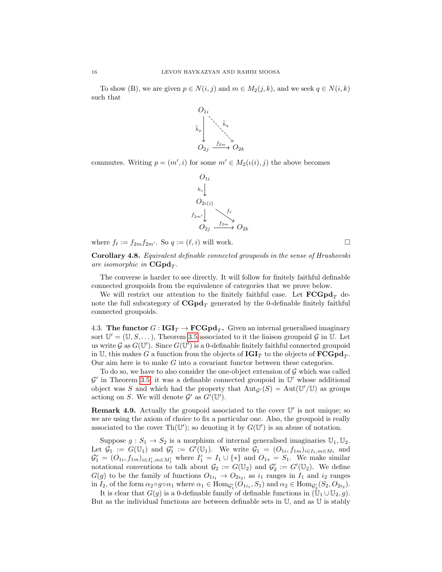To show (B), we are given  $p \in N(i, j)$  and  $m \in M_2(j, k)$ , and we seek  $q \in N(i, k)$ such that



commutes. Writing  $p = (m', i)$  for some  $m' \in M_2(\iota(i), j)$  the above becomes



where  $f_{\ell} := f_{2m}f_{2m'}$ . So  $q := (\ell, i)$  will work.

Corollary 4.8. Equivalent definable connected groupoids in the sense of Hrushovski are isomorphic in  $\mathbf{CGpd}_T$ .

The converse is harder to see directly. It will follow for finitely faithful definable connected groupoids from the equivalence of categories that we prove below.

We will restrict our attention to the finitely faithful case. Let  ${FCGpd<sub>T</sub>}$  denote the full subcategory of  $\mathbf{CGpd}_T$  generated by the 0-definable finitely faithful connected groupoids.

4.3. The functor  $G: \text{IGI}_T \to \text{FCGpd}_T$ . Given an internal generalised imaginary sort  $\mathbb{U}' = (\mathbb{U}, S, \dots)$ , Theorem [3.5](#page-5-2) associated to it the liaison groupoid G in  $\mathbb{U}$ . Let us write  $G$  as  $G(\mathbb{U}')$ . Since  $G(\mathbb{U}')$  is a 0-definable finitely faithful connected groupoid in U, this makes  $G$  a function from the objects of  $\mathbf{IGI}_T$  to the objects of  $\mathbf{FCGpd}_T$ . Our aim here is to make G into a covariant functor between these categories.

To do so, we have to also consider the one-object extension of  $\mathcal G$  which was called  $\mathcal{G}'$  in Theorem [3.5;](#page-5-2) it was a definable connected groupoid in  $\mathbb{U}'$  whose additional object was S and which had the property that  ${\rm Aut}_{\mathcal{G}'}(S) = {\rm Aut}(\mathbb{U}'/\mathbb{U})$  as groups actiong on S. We will denote  $\mathcal{G}'$  as  $G'(\mathbb{U}')$ .

**Remark 4.9.** Actually the groupoid associated to the cover  $\mathbb{U}'$  is not unique; so we are using the axiom of choice to fix a particular one. Also, the groupoid is really associated to the cover  $\text{Th}(\mathbb{U}')$ ; so denoting it by  $G(\mathbb{U}')$  is an abuse of notation.

Suppose  $g: S_1 \to S_2$  is a morphism of internal generalised imaginaries  $\mathbb{U}_1, \mathbb{U}_2$ . Let  $\mathcal{G}_1 := G(\mathbb{U}_1)$  and  $\mathcal{G}'_1 := G'(\mathbb{U}_1)$ . We write  $\mathcal{G}_1 = (O_{1i}, f_{1m})_{i \in I_1, m \in M_1}$  and  $\mathcal{G}'_1 = (O_{1i}, f_{1m})_{i \in I'_1, m \in M'_1}$  where  $I'_1 = I_1 \cup \{*\}$  and  $O_{1*} = S_1$ . We make similar notational conventions to talk about  $\mathcal{G}_2 := G(\mathbb{U}_2)$  and  $\mathcal{G}'_2 := G'(\mathbb{U}_2)$ . We define  $G(g)$  to be the family of functions  $O_{1i_1} \rightarrow O_{2i_2}$ , as  $i_1$  ranges in  $I_1$  and  $i_2$  ranges in  $I_2$ , of the form  $\alpha_2 \circ g \circ \alpha_1$  where  $\alpha_1 \in \text{Hom}_{\mathcal{G}_1'}(O_{1i_1}, S_1)$  and  $\alpha_2 \in \text{Hom}_{\mathcal{G}_2'}(S_2, O_{2i_2})$ .

It is clear that  $G(q)$  is a 0-definable family of definable functions in  $(\mathbb{U}_1 \cup \mathbb{U}_2, q)$ . But as the individual functions are between definable sets in  $\mathbb{U}$ , and as  $\mathbb{U}$  is stably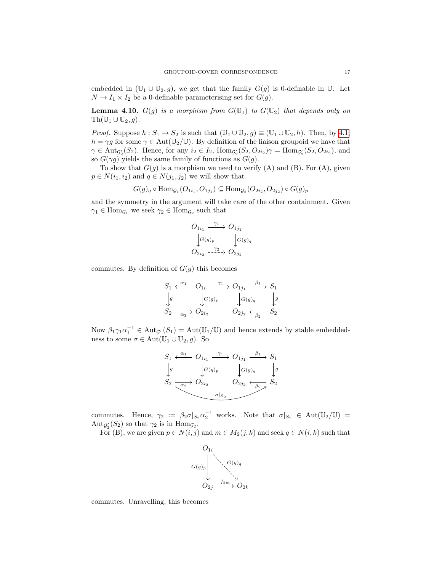embedded in  $(\mathbb{U}_1 \cup \mathbb{U}_2, g)$ , we get that the family  $G(g)$  is 0-definable in  $\mathbb{U}$ . Let  $N \to I_1 \times I_2$  be a 0-definable parameterising set for  $G(g)$ .

**Lemma 4.10.**  $G(g)$  is a morphism from  $G(\mathbb{U}_1)$  to  $G(\mathbb{U}_2)$  that depends only on  $\text{Th}(\mathbb{U}_1 \cup \mathbb{U}_2, g)$ .

*Proof.* Suppose  $h : S_1 \to S_2$  is such that  $(\mathbb{U}_1 \cup \mathbb{U}_2, g) \equiv (\mathbb{U}_1 \cup \mathbb{U}_2, h)$ . Then, by [4.1,](#page-10-2)  $h = \gamma g$  for some  $\gamma \in \text{Aut}(\mathbb{U}_2/\mathbb{U})$ . By definition of the liaison groupoid we have that  $\gamma \in \text{Aut}_{\mathcal{G}_2'}(S_2)$ . Hence, for any  $i_2 \in I_2$ ,  $\text{Hom}_{\mathcal{G}_2'}(S_2, O_{2i_2})\gamma = \text{Hom}_{\mathcal{G}_2'}(S_2, O_{2i_2})$ , and so  $G(\gamma g)$  yields the same family of functions as  $G(g)$ .

To show that  $G(g)$  is a morphism we need to verify (A) and (B). For (A), given  $p \in N(i_1, i_2)$  and  $q \in N(j_1, j_2)$  we will show that

$$
G(g)_q \circ \text{Hom}_{\mathcal{G}_1}(O_{1i_1}, O_{1j_1}) \subseteq \text{Hom}_{\mathcal{G}_2}(O_{2i_2}, O_{2j_2}) \circ G(g)_p
$$

and the symmetry in the argument will take care of the other containment. Given  $\gamma_1 \in \text{Hom}_{\mathcal{G}_1}$  we seek  $\gamma_2 \in \text{Hom}_{\mathcal{G}_2}$  such that

$$
O_{1i_1} \xrightarrow{\gamma_1} O_{1j_1}
$$
  
\n
$$
\downarrow G(g)_p \qquad \qquad G(g)_q
$$
  
\n
$$
O_{2i_2} \xrightarrow{\gamma_2} O_{2j_2}
$$

commutes. By definition of  $G(g)$  this becomes

$$
S_1 \xleftarrow{\alpha_1} O_{1i_1} \xrightarrow{\gamma_1} O_{1j_1} \xrightarrow{\beta_1} S_1
$$
  
\n
$$
\downarrow g
$$
\n
$$
\downarrow g
$$
\n
$$
S_2 \xrightarrow{\alpha_2} O_{2i_2} \qquad \qquad O_{2j_2} \xleftarrow{\beta_2} S_2
$$

Now  $\beta_1 \gamma_1 \alpha_1^{-1} \in \text{Aut}_{\mathcal{G}_1'}(S_1) = \text{Aut}(\mathbb{U}_1/\mathbb{U})$  and hence extends by stable embeddedness to some  $\sigma \in \text{Aut}(\mathbb{U}_1 \cup \mathbb{U}_2, q)$ . So

$$
S_1 \xleftarrow{\alpha_1} O_{1i_1} \xrightarrow{\gamma_1} O_{1j_1} \xrightarrow{\beta_1} S_1
$$
  
\n
$$
\downarrow g \qquad \qquad \downarrow g(g)_p \qquad \qquad \downarrow g(g)_q \qquad \qquad \downarrow g
$$
  
\n
$$
S_2 \xrightarrow{\alpha_2} O_{2i_2} O_{2j_2} \xrightarrow{\sigma|_{S_2}} O_{2j_2} \xleftarrow{\sigma|_{S_2}} S_2
$$

commutes. Hence,  $\gamma_2 := \beta_2 \sigma |_{S_2} \alpha_2^{-1}$  works. Note that  $\sigma |_{S_2} \in \text{Aut}(\mathbb{U}_2/\mathbb{U}) =$  $\mathrm{Aut}_{\mathcal{G}_2'}(S_2)$  so that  $\gamma_2$  is in  $\mathrm{Hom}_{\mathcal{G}_2}$ .

For (B), we are given  $p \in N(i, j)$  and  $m \in M_2(j, k)$  and seek  $q \in N(i, k)$  such that



commutes. Unravelling, this becomes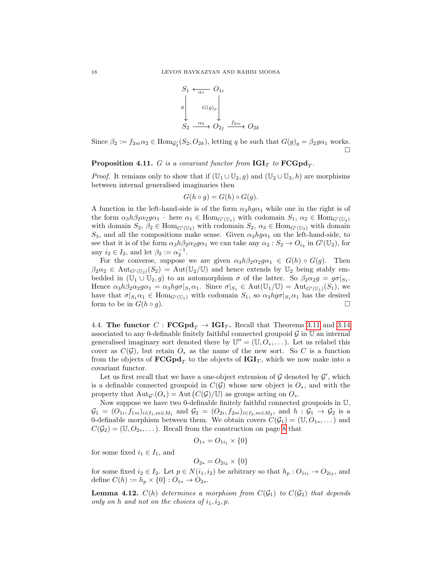$$
S_1 \leftarrow \overline{\alpha_1} O_{1i}
$$
\n
$$
g \downarrow G(g)_p \downarrow
$$
\n
$$
S_2 \xrightarrow{\alpha_2} O_{2j} \xrightarrow{f_{2m}} O_{2k}
$$

Since  $\beta_2 := f_{2m} \alpha_2 \in \text{Hom}_{\mathcal{G}_2'}(S_2, O_{2k})$ , letting q be such that  $G(g)_q = \beta_2 g \alpha_1$  works.  $\Box$ 

**Proposition 4.11.** G is a covariant functor from  $\text{IGI}_T$  to  $\text{FCGpd}_T$ .

*Proof.* It remians only to show that if  $(\mathbb{U}_1 \cup \mathbb{U}_2, g)$  and  $(\mathbb{U}_2 \cup \mathbb{U}_3, h)$  are morphisms between internal generalised imaginaries then

$$
G(h \circ g) = G(h) \circ G(g).
$$

A function in the left-hand-side is of the form  $\alpha_3 h g \alpha_1$  while one in the right is of the form  $\alpha_3 h \beta_2 \alpha_2 g \alpha_1$  – here  $\alpha_1 \in \text{Hom}_{G'(\mathbb{U}_1)}$  with codomain  $S_1, \alpha_2 \in \text{Hom}_{G'(\mathbb{U}_2)}$ with domain  $S_2$ ,  $\beta_2 \in \text{Hom}_{G'(\mathbb{U}_2)}$  with codomain  $S_2$ ,  $\alpha_3 \in \text{Hom}_{G'(\mathbb{U}_3)}$  with domain S<sub>3</sub>, and all the compositions make sense. Given  $\alpha_3 h g \alpha_1$  on the left-hand-side, to see that it is of the form  $\alpha_3 h \beta_2 \alpha_2 g \alpha_1$  we can take any  $\alpha_2 : S_2 \to O_{i_2}$  in  $G'(\mathbb{U}_2)$ , for any  $i_2 \in I_2$ , and let  $\beta_2 := \alpha_2^{-1}$ .

For the converse, suppose we are given  $\alpha_3 h \beta_2 \alpha_2 g \alpha_1 \in G(h) \circ G(g)$ . Then  $\beta_2 \alpha_2 \in \text{Aut}_{G'(\mathbb{U}_2)}(S_2) = \text{Aut}(\mathbb{U}_2/\mathbb{U})$  and hence extends by  $\mathbb{U}_2$  being stably embedded in  $(\overline{U_1} \cup \overline{U_2}, g)$  to an automorphism  $\sigma$  of the latter. So  $\beta_2 \alpha_2 g = g \sigma |_{S_1}$ . Hence  $\alpha_3 h \beta_2 \alpha_2 g \alpha_1 = \alpha_3 h g \sigma |_{S_1} \alpha_1$ . Since  $\sigma |_{S_1} \in \text{Aut}(\mathbb{U}_1/\mathbb{U}) = \text{Aut}_{G'(\mathbb{U}_1)}(S_1)$ , we have that  $\sigma|_{S_1} \alpha_1 \in \text{Hom}_{G'(\mathbb{U}_1)}$  with codomain  $S_1$ , so  $\alpha_3 h g \sigma|_{S_1} \alpha_1$  has the desired form to be in  $G(h \circ g)$ .

<span id="page-17-1"></span>4.4. The functor C :  $\mathbf{FCGpd}_T \to \mathbf{IGI}_T$ . Recall that Theorems [3.11](#page-8-0) and [3.14](#page-9-0) associated to any 0-definable finitely faithful connected groupoid  $\mathcal G$  in  $\mathbb U$  an internal generalised imaginary sort denoted there by  $\mathbb{U}'' = (\mathbb{U}, \tilde{O}_*, \dots)$ . Let us relabel this cover as  $C(\mathcal{G})$ , but retain  $O_*$  as the name of the new sort. So C is a function from the objects of  $\mathbf{FCGpd}_T$  to the objects of  $\mathbf{IGI}_T$ , which we now make into a covariant functor.

Let us first recall that we have a one-object extension of  $G$  denoted by  $G'$ , which is a definable connected groupoid in  $C(G)$  whose new object is  $O_*,$  and with the property that  $\text{Aut}_{\mathcal{G}}(O_*) = \text{Aut}(C(\mathcal{G})/\mathbb{U})$  as groups acting on  $O_*$ .

Now suppose we have two 0-definable finitely faithful connected groupoids in U,  $\mathcal{G}_1 = (O_{1i}, f_{1m})_{i \in I_1, m \in M_1}$  and  $\mathcal{G}_2 = (O_{2i}, f_{2m})_{i \in I_2, m \in M_2}$ , and  $h : \mathcal{G}_1 \to \mathcal{G}_2$  is a 0-definable morphism between them. We obtain covers  $C(\mathcal{G}_1) = (\mathbb{U}, O_{1*}, \dots)$  and  $C(\mathcal{G}_2) = (\mathbb{U}, O_{2*}, \dots)$ . Recall from the construction on page [8](#page-7-1) that

$$
O_{1*} = O_{1i_1} \times \{0\}
$$

for some fixed  $i_1 \in I_1$ , and

$$
O_{2*} = O_{2i_2} \times \{0\}
$$

for some fixed  $i_2 \in I_2$ . Let  $p \in N(i_1, i_2)$  be arbitrary so that  $h_p: O_{1i_1} \to O_{2i_2}$ , and define  $C(h) := h_p \times \{0\} : O_{1*} \to O_{2*}.$ 

<span id="page-17-0"></span>**Lemma 4.12.**  $C(h)$  determines a morphism from  $C(G_1)$  to  $C(G_2)$  that depends only on h and not on the choices of  $i_1, i_2, p$ .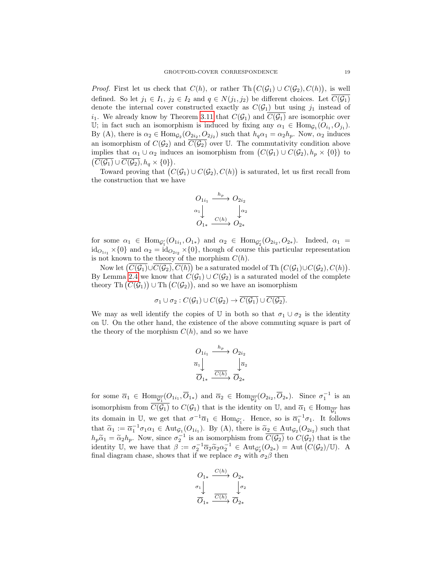*Proof.* First let us check that  $C(h)$ , or rather Th $(C(\mathcal{G}_1) \cup C(\mathcal{G}_2), C(h))$ , is well defined. So let  $j_1 \in I_1$ ,  $j_2 \in I_2$  and  $q \in N(j_1, j_2)$  be different choices. Let  $\overline{C(\mathcal{G}_1)}$ denote the internal cover constructed exactly as  $C(\mathcal{G}_1)$  but using  $j_1$  instead of  $i_1$ . We already know by Theorem [3.11](#page-8-0) that  $C(\mathcal{G}_1)$  and  $C(\mathcal{G}_1)$  are isomorphic over U; in fact such an isomorphism is induced by fixing any  $\alpha_1 \in \text{Hom}_{\mathcal{G}_1}(O_{i_1}, O_{j_1}).$ By (A), there is  $\alpha_2 \in \text{Hom}_{\mathcal{G}_2}(O_{2i_2}, O_{2j_2})$  such that  $h_q \alpha_1 = \alpha_2 h_p$ . Now,  $\alpha_2$  induces an isomorphism of  $C(\mathcal{G}_2)$  and  $\overline{C(\mathcal{G}_2)}$  over U. The commutativity condition above implies that  $\alpha_1 \cup \alpha_2$  induces an isomorphism from  $(C(\mathcal{G}_1) \cup C(\mathcal{G}_2), h_p \times \{0\})$  to  $\left(\overline{C(\mathcal{G}_1)}\cup \overline{C(\mathcal{G}_2)}, h_q\times\{0\}\right).$ 

Toward proving that  $(C(\mathcal{G}_1) \cup C(\mathcal{G}_2), C(h))$  is saturated, let us first recall from the construction that we have

$$
O_{1i_1} \xrightarrow{h_p} O_{2i_2}
$$
  
\n
$$
\begin{array}{c} \alpha_1 \\ \downarrow \\ O_{1*} \xrightarrow{C(h)} O_{2*} \end{array}
$$

for some  $\alpha_1 \in \text{Hom}_{\mathcal{G}_1'}(O_{1i_1}, O_{1*})$  and  $\alpha_2 \in \text{Hom}_{\mathcal{G}_2'}(O_{2i_2}, O_{2*})$ . Indeed,  $\alpha_1 =$  $id_{O_{1i_1}} \times \{0\}$  and  $\alpha_2 = id_{O_{2i_2}} \times \{0\}$ , though of course this particular representation is not known to the theory of the morphism  $C(h)$ .

Now let  $(\overline{C(\mathcal{G}_1)} \cup \overline{C(\mathcal{G}_2)}, \overline{C(h)})$  be a saturated model of Th $(C(\mathcal{G}_1) \cup C(\mathcal{G}_2), C(h)).$ By Lemma [2.4](#page-3-1) we know that  $C(\mathcal{G}_1) \cup C(\mathcal{G}_2)$  is a saturated model of the complete theory Th  $(C(\mathcal{G}_1)) \cup$  Th  $(C(\mathcal{G}_2))$ , and so we have an isomorphism

$$
\sigma_1 \cup \sigma_2 : C(\mathcal{G}_1) \cup C(\mathcal{G}_2) \rightarrow \overline{C(\mathcal{G}_1)} \cup \overline{C(\mathcal{G}_2)}.
$$

We may as well identify the copies of U in both so that  $\sigma_1 \cup \sigma_2$  is the identity on U. On the other hand, the existence of the above commuting square is part of the theory of the morphism  $C(h)$ , and so we have

$$
O_{1i_1} \xrightarrow{h_p} O_{2i_2}
$$

$$
\overline{\alpha}_1 \downarrow \qquad \qquad \downarrow \overline{\alpha}_2
$$

$$
\overline{O}_{1*} \xrightarrow{\overline{C(h)}} \overline{O}_{2*}
$$

for some  $\overline{\alpha}_1 \in \text{Hom}_{\overline{\mathcal{G}_1'}}(O_{1i_1}, \overline{O}_{1*})$  and  $\overline{\alpha}_2 \in \text{Hom}_{\overline{\mathcal{G}_2'}}(O_{2i_2}, \overline{O}_{2*})$ . Since  $\sigma_1^{-1}$  is an isomorphism from  $\overline{C(\mathcal{G}_1)}$  to  $C(\mathcal{G}_1)$  that is the identity on U, and  $\overline{\alpha}_1 \in \text{Hom}_{\overline{\mathcal{G}_1}}$  has its domain in U, we get that  $\sigma^{-1}\overline{\alpha}_1 \in \text{Hom}_{\mathcal{G}_1'}$ . Hence, so is  $\overline{\alpha}_1^{-1}\sigma_1$ . It follows that  $\widetilde{\alpha}_1 := \overline{\alpha}_1^{-1} \sigma_1 \alpha_1 \in \text{Aut}_{\mathcal{G}_1}(O_{1i_1})$ . By (A), there is  $\widetilde{\alpha}_2 \in \text{Aut}_{\mathcal{G}_2}(O_{2i_2})$  such that  $h_p \widetilde{\alpha}_1 = \widetilde{\alpha}_2 h_p$ . Now, since  $\sigma_2^{-1}$  is an isomorphism from  $\overline{C(\mathcal{G}_2)}$  to  $C(\mathcal{G}_2)$  that is the identity  $\mathbb{I}$ , we have that  $\beta := \sigma^{-1} \overline{\alpha} \widetilde{\alpha}_2 e^{-1} \subset \text{Aut}(\alpha) = \text{Aut}(\overline{C(\alpha)} / \mathbb{I})$ . identity U, we have that  $\beta := \sigma_2^{-1} \overline{\alpha}_2 \widetilde{\alpha}_2 \alpha_2^{-1} \in \text{Aut}_{\mathcal{G}_2'}(O_{2*}) = \text{Aut}(C(\mathcal{G}_2)/\mathbb{U})$ . A final diagram chase, shows that if we replace  $\sigma_2$  with  $\sigma_2\beta$  then

$$
\begin{array}{ccc}\nO_{1*} & \xrightarrow{C(h)} & O_{2*} \\
\sigma_1 & & \downarrow \sigma_2 \\
\hline\nO_{1*} & \xrightarrow{\overline{C(h)}} & O_{2*}\n\end{array}
$$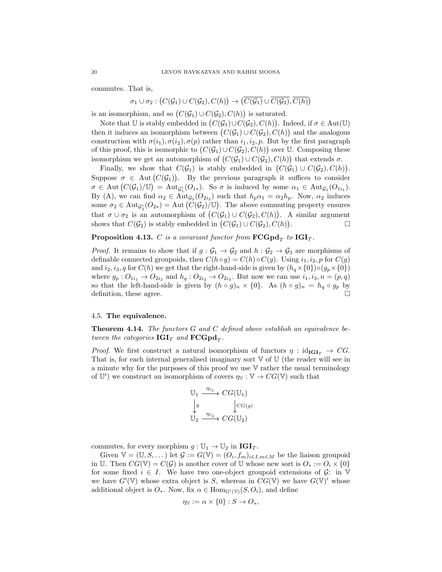commutes. That is,

 $\sigma_1 \cup \sigma_2 : (C(\mathcal{G}_1) \cup C(\mathcal{G}_2), C(h)) \rightarrow (\overline{C(\mathcal{G}_1)} \cup \overline{C(\mathcal{G}_2)}, \overline{C(h)})$ 

is an isomorphism, and so  $(C(\mathcal{G}_1) \cup C(\mathcal{G}_2), C(h))$  is saturated.

Note that U is stably embedded in  $(C(\mathcal{G}_1) \cup C(\mathcal{G}_2), C(h))$ . Indeed, if  $\sigma \in \text{Aut}(\mathbb{U})$ then it induces an isomorphism between  $(C(\mathcal{G}_1) \cup C(\mathcal{G}_2), C(h))$  and the analogous construction with  $\sigma(i_1), \sigma(i_2), \sigma(p)$  rather than  $i_1, i_2, p$ . But by the first paragraph of this proof, this is isomorphic to  $(C(\mathcal{G}_1) \cup C(\mathcal{G}_2), C(h))$  over U. Composing these isomorphism we get an automorphism of  $(C(\mathcal{G}_1) \cup C(\mathcal{G}_2), C(h))$  that extends  $\sigma$ .

Finally, we show that  $C(\mathcal{G}_1)$  is stably embedded in  $(C(\mathcal{G}_1) \cup C(\mathcal{G}_2), C(h))$ . Suppose  $\sigma \in$  Aut  $(C(\mathcal{G}_1))$ . By the previous paragraph it suffices to consider  $\sigma \in \text{Aut}(C(\mathcal{G}_1)/\mathbb{U}) = \text{Aut}_{\mathcal{G}_1'}(O_{1*}).$  So  $\sigma$  is induced by some  $\alpha_1 \in \text{Aut}_{\mathcal{G}_1}(O_{1i_1}).$ By (A), we can find  $\alpha_2 \in \text{Aut}_{\mathcal{G}_2}(O_{2i_2})$  such that  $h_p \alpha_1 = \alpha_2 h_p$ . Now,  $\alpha_2$  induces some  $\sigma_2 \in \text{Aut}_{\mathcal{G}_2'}(O_{2*}) = \text{Aut}(C(\mathcal{G}_2)/\mathbb{U})$ . The above commuting property ensures that  $\sigma \cup \sigma_2$  is an automorphism of  $(C(\mathcal{G}_1) \cup C(\mathcal{G}_2), C(h))$ . A similar argument shows that  $C(\mathcal{G}_2)$  is stably embedded in  $(C(\mathcal{G}_1) \cup C(\mathcal{G}_2), C(h))$ . — Первый проста в сервести проста в сервести проста в сервести проста в сервести проста в сервести проста в<br>В сервести проста в сервести проста в сервести проста в сервести проста в сервести проста в сервести проста в<br>В

# **Proposition 4.13.** C is a covariant functor from  $\mathbf{FCGpd}_T$  to  $\mathbf{IGI}_T$ .

*Proof.* It remains to show that if  $g : \mathcal{G}_1 \to \mathcal{G}_2$  and  $h : \mathcal{G}_2 \to \mathcal{G}_3$  are morphisms of definable connected groupoids, then  $C(h \circ g) = C(h) \circ C(g)$ . Using  $i_1, i_2, p$  for  $C(g)$ and  $i_2, i_3, q$  for  $C(h)$  we get that the right-hand-side is given by  $(h_q \times \{0\}) \circ (g_p \times \{0\})$ where  $g_p: O_{1i_1} \to O_{2i_2}$  and  $h_q: O_{2i_2} \to O_{2i_3}$ . But now we can use  $i_1, i_3, n = (p, q)$ so that the left-hand-side is given by  $(h \circ g)_n \times \{0\}$ . As  $(h \circ g)_n = h_q \circ g_p$  by definition, these agree.  $\square$ 

### 4.5. The equivalence.

**Theorem 4.14.** The functors  $G$  and  $C$  defined above establish an equivalence between the categories  $\textbf{IGI}_T$  and  $\textbf{FCGpd}_T$ .

*Proof.* We first construct a natural isomorphism of functors  $\eta : id_{\text{IGI}_T} \to CG$ . That is, for each internal generalised imaginary sort  $\nabla$  of  $\nabla$  (the reader will see in a minute why for the purposes of this proof we use V rather the usual terminology of U') we construct an isomorphism of covers  $\eta_V : V \to CG(V)$  such that

$$
\begin{array}{ccc}\n\mathbb{U}_1 & \xrightarrow{\eta_{\mathbb{U}_1}} & CG(\mathbb{U}_1) \\
\downarrow g & & \downarrow CG(g) \\
\mathbb{U}_2 & \xrightarrow{\eta_{\mathbb{U}_2}} & CG(\mathbb{U}_2)\n\end{array}
$$

commutes, for every morphism  $g: \mathbb{U}_1 \to \mathbb{U}_2$  in  $\text{IGI}_T$ .

Given  $\mathbb{V} = (\mathbb{U}, S, \dots)$  let  $\mathcal{G} := G(\mathbb{V}) = (O_i, f_m)_{i \in I, m \in M}$  be the liaison groupoid in U. Then  $CG(\mathbb{V}) = C(\mathcal{G})$  is another cover of U whose new sort is  $O_* := O_i \times \{0\}$ for some fixed  $i \in I$ . We have two one-object groupoid extensions of  $\mathcal{G}$ : in V we have  $G'(\mathbb{V})$  whose extra object is S, whereas in  $CG(\mathbb{V})$  we have  $G(\mathbb{V})'$  whose additional object is  $O_*.$  Now, fix  $\alpha \in \text{Hom}_{G'(\mathbb{V})}(S, O_i)$ , and define

$$
\eta_{\mathbb{V}} := \alpha \times \{0\} : S \to O_*,
$$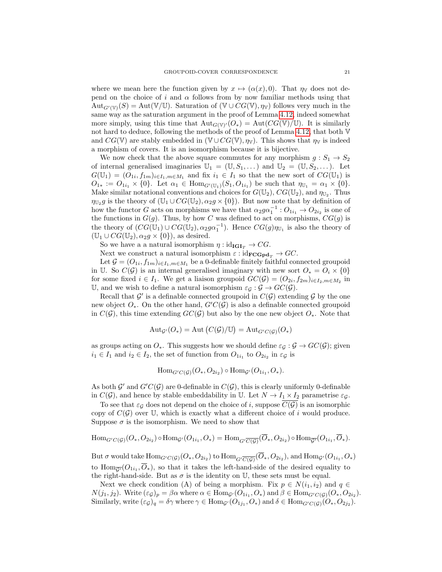where we mean here the function given by  $x \mapsto (\alpha(x), 0)$ . That  $\eta_{\mathbb{V}}$  does not depend on the choice of i and  $\alpha$  follows from by now familiar methods using that  $\text{Aut}_{G'(\mathbb{V})}(S) = \text{Aut}(\mathbb{V}/\mathbb{U})$ . Saturation of  $(\mathbb{V} \cup CG(\mathbb{V}), \eta_{\mathbb{V}})$  follows very much in the same way as the saturation argument in the proof of Lemma [4.12,](#page-17-0) indeed somewhat more simply, using this time that  ${\rm Aut}_{G(V)'}(O_*) = {\rm Aut}(CG(V)/U)$ . It is similarly not hard to deduce, following the methods of the proof of Lemma [4.12,](#page-17-0) that both V and  $CG(\mathbb{V})$  are stably embedded in  $(\mathbb{V} \cup CG(\mathbb{V}), \eta_{\mathbb{V}})$ . This shows that  $\eta_{\mathbb{V}}$  is indeed a morphism of covers. It is an isomorphism because it is bijective.

We now check that the above square commutes for any morphism  $g: S_1 \to S_2$ of internal generalised imaginaries  $\mathbb{U}_1 = (\mathbb{U}, S_1, \dots)$  and  $\mathbb{U}_2 = (\mathbb{U}, S_2, \dots)$ . Let  $G(\mathbb{U}_1) = (O_{1i}, f_{1m})_{i \in I_1, m \in M_1}$  and fix  $i_1 \in I_1$  so that the new sort of  $CG(\mathbb{U}_1)$  is  $O_{1*} := O_{1i_1} \times \{0\}$ . Let  $\alpha_1 \in \text{Hom}_{G'(\mathbb{U}_1)}(S_1, O_{1i_1})$  be such that  $\eta_{\mathbb{U}_1} = \alpha_1 \times \{0\}$ . Make similar notational conventions and choices for  $G(\mathbb{U}_2)$ ,  $CG(\mathbb{U}_2)$ , and  $\eta_{\mathbb{U}_2}$ . Thus  $\eta_{\mathbb{U}_2}g$  is the theory of  $(\mathbb{U}_1 \cup CG(\mathbb{U}_2), \alpha_2g \times \{0\})$ . But now note that by definition of how the functor G acts on morphisms we have that  $\alpha_2 g \alpha_1^{-1}$  :  $O_{1i_1} \rightarrow O_{2i_2}$  is one of the functions in  $G(g)$ . Thus, by how C was defined to act on morphisms,  $CG(g)$  is the theory of  $(CG(\mathbb{U}_1) \cup CG(\mathbb{U}_2), \alpha_2 g\alpha_1^{-1})$ . Hence  $CG(g)\eta_{\mathbb{U}_1}$  is also the theory of  $(\mathbb{U}_1 \cup CG(\mathbb{U}_2), \alpha_2 q \times \{0\})$ , as desired.

So we have a a natural isomorphism  $\eta : id_{\mathbf{IGI}_T} \to CG$ .

Next we construct a natural isomorphism  $\varepsilon : id_{\mathbf{FCGpd}_T} \to GC$ .

Let  $\mathcal{G} = (O_{1i}, f_{1m})_{i \in I_1, m \in M_1}$  be a 0-definable finitely faithful connected groupoid in U. So  $C(G)$  is an internal generalised imaginary with new sort  $O<sub>∗</sub> = O<sub>i</sub> \times \{0\}$ for some fixed  $i \in I_1$ . We get a liaison groupoid  $GC(\mathcal{G}) = (O_{2i}, f_{2m})_{i \in I_2, m \in M_2}$  in U, and we wish to define a natural isomorphism  $\varepsilon_G : \mathcal{G} \to \mathit{GC}(\mathcal{G})$ .

Recall that  $\mathcal{G}'$  is a definable connected groupoid in  $C(\mathcal{G})$  extending  $\mathcal{G}$  by the one new object  $O_*.$  On the other hand,  $G'C(\mathcal{G})$  is also a definable connected groupoid in  $C(\mathcal{G})$ , this time extending  $GC(\mathcal{G})$  but also by the one new object  $O_*$ . Note that

$$
Aut_{\mathcal{G}'}(O_*) = Aut(C(\mathcal{G})/U) = Aut_{G'C(\mathcal{G})}(O_*)
$$

as groups acting on  $O_*.$  This suggests how we should define  $\varepsilon_G : \mathcal{G} \to \mathcal{G}(\mathcal{G})$ ; given  $i_1 \in I_1$  and  $i_2 \in I_2$ , the set of function from  $O_{1i_1}$  to  $O_{2i_2}$  in  $\varepsilon_{\mathcal{G}}$  is

$$
\mathrm{Hom}_{G'C(\mathcal{G})}(O_*, O_{2i_2}) \circ \mathrm{Hom}_{\mathcal{G}'}(O_{1i_1}, O_*).
$$

As both  $\mathcal{G}'$  and  $G'C(\mathcal{G})$  are 0-definable in  $C(\mathcal{G})$ , this is clearly uniformly 0-definable in  $C(G)$ , and hence by stable embeddability in U. Let  $N \to I_1 \times I_2$  parametrise  $\varepsilon_{\mathcal{G}}$ .

To see that  $\varepsilon_{\mathcal{G}}$  does not depend on the choice of i, suppose  $\overline{C(\mathcal{G})}$  is an isomorphic copy of  $C(G)$  over U, which is exactly what a different choice of i would produce. Suppose  $\sigma$  is the isomorphism. We need to show that

$$
\mathrm{Hom}_{G'C(\mathcal{G})}(O_*, O_{2i_2}) \circ \mathrm{Hom}_{\mathcal{G}'}(O_{1i_1}, O_*) = \mathrm{Hom}_{G' \overline{C(\mathcal{G})}}(\overline{O}_*, O_{2i_2}) \circ \mathrm{Hom}_{\overline{\mathcal{G}'}}(O_{1i_1}, \overline{O}_*).
$$

But  $\sigma$  would take  $\text{Hom}_{G'C(\mathcal{G})}(O_*,O_{2i_2})$  to  $\text{Hom}_{G' \overline{C(\mathcal{G})}}(O_*,O_{2i_2}),$  and  $\text{Hom}_{\mathcal{G}'}(O_{1i_1},O_*)$ to  $\text{Hom}_{\overline{\mathcal{G}'}}(O_{1i_1}, O_*)$ , so that it takes the left-hand-side of the desired equality to the right-hand-side. But as  $\sigma$  is the identity on U, these sets must be equal.

Next we check condition (A) of being a morphism. Fix  $p \in N(i_1, i_2)$  and  $q \in$  $N(j_1, j_2)$ . Write  $(\varepsilon_{\mathcal{G}})_p = \beta \alpha$  where  $\alpha \in \text{Hom}_{\mathcal{G}}(O_{1i_1}, O_*)$  and  $\beta \in \text{Hom}_{G'(C(\mathcal{G})}(O_*, O_{2i_2})$ . Similarly, write  $(\varepsilon_{\mathcal{G}})_{q} = \delta \gamma$  where  $\gamma \in \text{Hom}_{\mathcal{G}}(O_{1j_1}, O_*)$  and  $\delta \in \text{Hom}_{G'(C(\mathcal{G})}(O_*, O_{2j_2}).$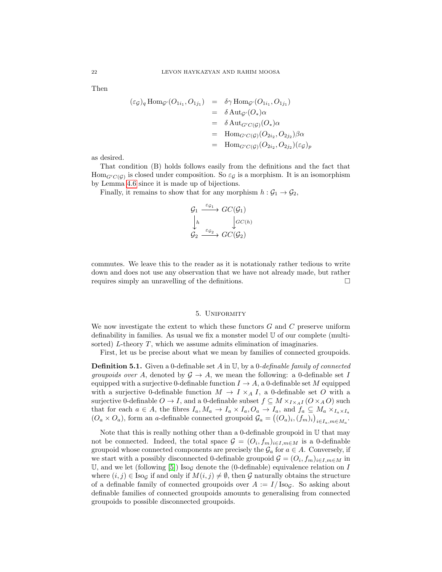Then

$$
\begin{array}{rcl}\n(\varepsilon_{\mathcal{G}})_{q} \operatorname{Hom}_{\mathcal{G}'}(O_{1i_{1}}, O_{1j_{1}}) & = & \delta \gamma \operatorname{Hom}_{\mathcal{G}'}(O_{1i_{1}}, O_{1j_{1}}) \\
& = & \delta \operatorname{Aut}_{\mathcal{G}'}(O_{*}) \alpha \\
& = & \delta \operatorname{Aut}_{\mathcal{G}'C(\mathcal{G})}(O_{*}) \alpha \\
& = & \operatorname{Hom}_{\mathcal{G}'C(\mathcal{G})}(O_{2i_{2}}, O_{2j_{2}}) \beta \alpha \\
& = & \operatorname{Hom}_{\mathcal{G}'C(\mathcal{G})}(O_{2i_{2}}, O_{2j_{2}})(\varepsilon_{\mathcal{G}})_{p}\n\end{array}
$$

as desired.

That condition (B) holds follows easily from the definitions and the fact that  $\text{Hom}_{G^{\prime}C(\mathcal{G})}$  is closed under composition. So  $\varepsilon_{\mathcal{G}}$  is a morphism. It is an isomorphism by Lemma [4.6](#page-14-0) since it is made up of bijections.

Finally, it remains to show that for any morphism  $h : \mathcal{G}_1 \to \mathcal{G}_2$ ,

$$
\begin{array}{ccc}\n\mathcal{G}_1 & \xrightarrow{\varepsilon_{\mathcal{G}_1}} & GC(\mathcal{G}_1) \\
\downarrow_h & & \downarrow_{GC(h)} \\
\mathcal{G}_2 & \xrightarrow{\varepsilon_{\mathcal{G}_2}} & GC(\mathcal{G}_2)\n\end{array}
$$

commutes. We leave this to the reader as it is notationaly rather tedious to write down and does not use any observation that we have not already made, but rather requires simply an unravelling of the definitions.  $\square$ 

## 5. Uniformity

<span id="page-21-0"></span>We now investigate the extent to which these functors  $G$  and  $C$  preserve uniform definability in families. As usual we fix a monster model U of our complete (multisorted) L-theory T, which we assume admits elimination of imaginaries.

First, let us be precise about what we mean by families of connected groupoids.

**Definition 5.1.** Given a 0-definable set A in U, by a 0-definable family of connected groupoids over A, denoted by  $\mathcal{G} \to A$ , we mean the following: a 0-definable set I equipped with a surjective 0-definable function  $I \rightarrow A$ , a 0-definable set M equipped with a surjective 0-definable function  $M \to I \times_A I$ , a 0-definable set O with a surjective 0-definable  $O \to I$ , and a 0-definable subset  $f \subseteq M \times_{I \times_A I} (O \times_A O)$  such that for each  $a \in A$ , the fibres  $I_a, M_a \to I_a \times I_a$ ,  $O_a \to I_a$ , and  $f_a \subseteq M_a \times_{I_a \times I_a}$  $(O_a \times O_a)$ , form an a-definable connected groupoid  $\mathcal{G}_a = ((O_a)_i, (f_m)_i)_{i \in I_a, m \in M_a}$ .

Note that this is really nothing other than a 0-definable groupoid in U that may not be connected. Indeed, the total space  $\mathcal{G} = (O_i, f_m)_{i \in I, m \in M}$  is a 0-definable groupoid whose connected components are precisely the  $\mathcal{G}_a$  for  $a \in A$ . Conversely, if we start with a possibly disconnected 0-definable groupoid  $\mathcal{G} = (O_i, f_m)_{i \in I, m \in M}$  in U, and we let (following [\[5\]](#page-27-4)) Iso<sub>g</sub> denote the (0-definable) equivalence relation on I where  $(i, j) \in \text{Iso}_\mathcal{G}$  if and only if  $M(i, j) \neq \emptyset$ , then G naturally obtains the structure of a definable family of connected groupoids over  $A := I/\text{Iso}_G$ . So asking about definable families of connected groupoids amounts to generalising from connected groupoids to possible disconnected groupoids.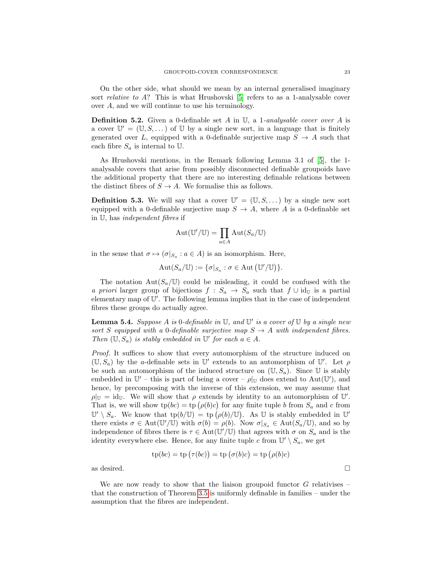On the other side, what should we mean by an internal generalised imaginary sort *relative to A*? This is what Hrushovski  $[5]$  refers to as a 1-analysable cover over A, and we will continue to use his terminology.

**Definition 5.2.** Given a 0-definable set A in U, a 1-analysable cover over A is a cover  $\mathbb{U}' = (\mathbb{U}, S, \dots)$  of  $\mathbb{U}$  by a single new sort, in a language that is finitely generated over L, equipped with a 0-definable surjective map  $S \to A$  such that each fibre  $S_a$  is internal to U.

As Hrushovski mentions, in the Remark following Lemma 3.1 of [\[5\]](#page-27-4), the 1 analysable covers that arise from possibly disconnected definable groupoids have the additional property that there are no interesting definable relations between the distinct fibres of  $S \to A$ . We formalise this as follows.

**Definition 5.3.** We will say that a cover  $\mathbb{U}' = (\mathbb{U}, S, \dots)$  by a single new sort equipped with a 0-definable surjective map  $S \to A$ , where A is a 0-definable set in U, has independent fibres if

$$
\mathrm{Aut}(\mathbb{U}'/\mathbb{U}) = \prod_{a \in A} \mathrm{Aut}(S_a/\mathbb{U})
$$

in the sense that  $\sigma \mapsto (\sigma |_{S_a} : a \in A)$  is an isomorphism. Here,

$$
Aut(S_a/\mathbb{U}) := {\{\sigma|_{S_a} : \sigma \in Aut\left(\mathbb{U}'/\mathbb{U}\right)\}}.
$$

The notation  $Aut(S_a/\mathbb{U})$  could be misleading, it could be confused with the a priori larger group of bijections  $f : S_a \to S_a$  such that  $f \cup id_{\mathbb{U}}$  is a partial elementary map of  $\mathbb{U}'$ . The following lemma implies that in the case of independent fibres these groups do actually agree.

<span id="page-22-0"></span>**Lemma 5.4.** Suppose A is 0-definable in  $\mathbb{U}$ , and  $\mathbb{U}'$  is a cover of  $\mathbb{U}$  by a single new sort S equipped with a 0-definable surjective map  $S \to A$  with independent fibres. Then  $(\mathbb{U}, S_a)$  is stably embedded in  $\mathbb{U}'$  for each  $a \in A$ .

Proof. It suffices to show that every automorphism of the structure induced on  $(U, S_a)$  by the a-definable sets in U' extends to an automorphism of U'. Let  $\rho$ be such an automorphism of the induced structure on  $(\mathbb{U}, S_a)$ . Since  $\mathbb{U}$  is stably embedded in  $\mathbb{U}'$  – this is part of being a cover –  $\rho|_{\mathbb{U}}$  does extend to Aut $(\mathbb{U}')$ , and hence, by precomposing with the inverse of this extension, we may assume that  $\rho|_{\mathbb{U}} = id_{\mathbb{U}}$ . We will show that  $\rho$  extends by identity to an automorphism of  $\mathbb{U}'$ . That is, we will show  $tp(bc) = tp(\rho(b)c)$  for any finite tuple b from  $S_a$  and c from  $\mathbb{U}'\setminus S_a$ . We know that  $\text{tp}(b/\mathbb{U}) = \text{tp}(\rho(b)/\mathbb{U})$ . As U is stably embedded in U' there exists  $\sigma \in \text{Aut}(\mathbb{U}'/\mathbb{U})$  with  $\sigma(b) = \rho(b)$ . Now  $\sigma|_{S_a} \in \text{Aut}(S_a/\mathbb{U})$ , and so by independence of fibres there is  $\tau \in Aut(\mathbb{U}'/\mathbb{U})$  that agrees with  $\sigma$  on  $S_a$  and is the identity everywhere else. Hence, for any finite tuple c from  $\mathbb{U}' \setminus S_a$ , we get

$$
tp(bc) = tp(\tau(bc)) = tp(\sigma(b)c) = tp(\rho(b)c)
$$

as desired.  $\hfill \square$ 

We are now ready to show that the liaison groupoid functor  $G$  relativises  $$ that the construction of Theorem [3.5](#page-5-2) is uniformly definable in families – under the assumption that the fibres are independent.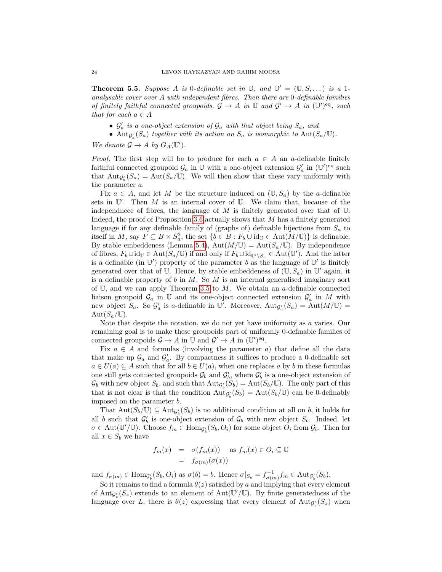<span id="page-23-0"></span>**Theorem 5.5.** Suppose A is 0-definable set in  $\mathbb{U}$ , and  $\mathbb{U}' = (\mathbb{U}, S, \dots)$  is a 1analysable cover over A with independent fibres. Then there are  $0$ -definable families of finitely faithful connected groupoids,  $\mathcal{G} \to A$  in  $\mathbb{U}$  and  $\mathcal{G}' \to A$  in  $(\mathbb{U}')^{\text{eq}}$ , such that for each  $a \in A$ 

- $\mathcal{G}'_a$  is a one-object extension of  $\mathcal{G}_a$  with that object being  $S_a$ , and
- Aut $g_a'(S_a)$  together with its action on  $S_a$  is isomorphic to Aut $(S_a/\mathbb{U})$ .

We denote  $\mathcal{G} \to A$  by  $G_A(\mathbb{U}')$ .

*Proof.* The first step will be to produce for each  $a \in A$  an a-definable finitely faithful connected groupoid  $\mathcal{G}_a$  in  $\mathbb U$  with a one-object extension  $\mathcal{G}'_a$  in  $(\mathbb U')^{\text{eq}}$  such that  $\text{Aut}_{\mathcal{G}'_a}(S_a) = \text{Aut}(S_a/\mathbb{U})$ . We will then show that these vary uniformly with the parameter a.

Fix  $a \in A$ , and let M be the structure induced on  $(\mathbb{U}, S_a)$  by the a-definable sets in  $\mathbb{U}'$ . Then M is an internal cover of  $\mathbb{U}$ . We claim that, because of the independnece of fibres, the language of  $M$  is finitely generated over that of  $U$ . Indeed, the proof of Proposition [3.6](#page-5-1) actually shows that M has a finitely generated language if for any definable family of (graphs of) definable bijections from  $S_a$  to itself in M, say  $F \subseteq B \times S_a^2$ , the set  $\{b \in B : F_b \cup id_{\mathbb{U}} \in \text{Aut}(M/\mathbb{U})\}$  is definable. By stable embeddeness (Lemma [5.4\)](#page-22-0),  $Aut(M/\mathbb{U}) = Aut(S_a/\mathbb{U})$ . By independence of fibres,  $F_b \cup id_{\mathbb{U}} \in Aut(S_a/\mathbb{U})$  if and only if  $F_b \cup id_{\mathbb{U}'\backslash S_a} \in Aut(\mathbb{U}')$ . And the latter is a definable (in  $\mathbb{U}'$ ) property of the parameter b as the language of  $\mathbb{U}'$  is finitely generated over that of U. Hence, by stable embeddeness of  $(\mathbb{U}, S_a)$  in  $\mathbb{U}'$  again, it is a definable property of  $b$  in  $M$ . So  $M$  is an internal generalised imaginary sort of U, and we can apply Theorem [3.5](#page-5-2) to  $M$ . We obtain an a-definable connected liaison groupoid  $\mathcal{G}_a$  in U and its one-object connected extension  $\mathcal{G}'_a$  in M with new object  $S_a$ . So  $\mathcal{G}'_a$  is a-definable in U'. Moreover,  ${\rm Aut}_{\mathcal{G}'_a}(S_a) = {\rm Aut}(M/\mathbb{U}) =$  $Aut(S_a/\mathbb{U}).$ 

Note that despite the notation, we do not yet have uniformity as a varies. Our remaining goal is to make these groupoids part of uniformly 0-definable families of connected groupoids  $\mathcal{G} \to A$  in  $\mathbb{U}$  and  $\mathcal{G}' \to A$  in  $(\mathbb{U}')^{\text{eq}}$ .

Fix  $a \in A$  and formulas (involving the parameter a) that define all the data that make up  $\mathcal{G}_a$  and  $\mathcal{G}'_a$ . By compactness it suffices to produce a 0-definable set  $a \in U(a) \subseteq A$  such that for all  $b \in U(a)$ , when one replaces a by b in these formulas one still gets connected groupoids  $\mathcal{G}_b$  and  $\mathcal{G}'_b$ , where  $\mathcal{G}'_b$  is a one-object extension of  $\mathcal{G}_b$  with new object  $S_b$ , and such that  $\text{Aut}_{\mathcal{G}'_b}(S_b) = \text{Aut}(S_b/\mathbb{U})$ . The only part of this that is not clear is that the condition  $\text{Aut}_{\mathcal{G}'_b}(S_b) = \text{Aut}(S_b/\mathbb{U})$  can be 0-definably imposed on the parameter b.

That  $\text{Aut}(S_b/\mathbb{U}) \subseteq \text{Aut}_{\mathcal{G}'_b}(S_b)$  is no additional condition at all on b, it holds for all b such that  $G'_{b}$  is one-object extension of  $G_{b}$  with new object  $S_{b}$ . Indeed, let  $\sigma \in \text{Aut}(\mathbb{U}'/\mathbb{U})$ . Choose  $f_m \in \text{Hom}_{\mathcal{G}'_b}(S_b, O_i)$  for some object  $O_i$  from  $\mathcal{G}_b$ . Then for all  $x \in S_b$  we have

$$
f_m(x) = \sigma(f_m(x)) \text{ as } f_m(x) \in O_i \subseteq \mathbb{U}
$$
  
=  $f_{\sigma(m)}(\sigma(x))$ 

and  $f_{\sigma(m)} \in \text{Hom}_{\mathcal{G}'_b}(S_b, O_i)$  as  $\sigma(b) = b$ . Hence  $\sigma|_{S_b} = f_{\sigma(m)}^{-1} f_m \in \text{Aut}_{\mathcal{G}'_b}(S_b)$ .

So it remains to find a formula  $\theta(z)$  satisfied by a and implying that every element of  $\text{Aut}_{\mathcal{G}_z'}(S_z)$  extends to an element of  $\text{Aut}(\mathbb{U}'/\mathbb{U})$ . By finite generatedness of the language over L, there is  $\theta(z)$  expressing that every element of  $\text{Aut}_{\mathcal{G}_z'}(S_z)$  when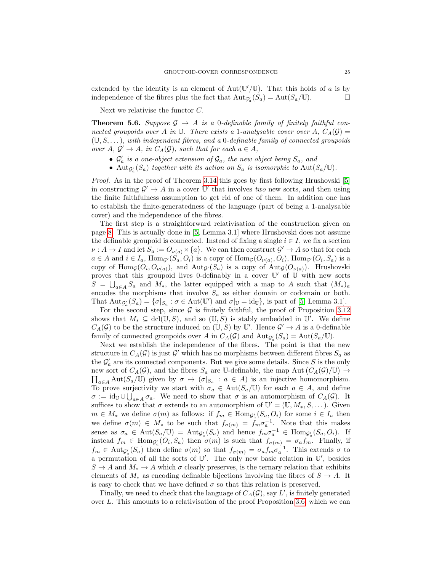extended by the identity is an element of  $Aut(\mathbb{U}'/\mathbb{U})$ . That this holds of a is by independence of the fibres plus the fact that  $\text{Aut}_{\mathcal{G}'_a}(S_a) = \text{Aut}(S_a/\mathbb{U}).$ 

Next we relativise the functor C.

<span id="page-24-0"></span>**Theorem 5.6.** Suppose  $\mathcal{G} \rightarrow A$  is a 0-definable family of finitely faithful connected groupoids over A in U. There exists a 1-analysable cover over A,  $C_A(\mathcal{G}) =$  $(\mathbb{U}, \mathcal{S}, \dots)$ , with independent fibres, and a 0-definable family of connected groupoids over  $A, \mathcal{G}' \to A$ , in  $C_A(\mathcal{G})$ , such that for each  $a \in A$ ,

- $\mathcal{G}'_a$  is a one-object extension of  $\mathcal{G}_a$ , the new object being  $S_a$ , and
- Aut $_{\mathcal{G}'_a}(S_a)$  together with its action on  $S_a$  is isomorphic to Aut $(S_a/\mathbb{U})$ .

*Proof.* As in the proof of Theorem [3.14](#page-9-0) this goes by first following Hrushovski [\[5\]](#page-27-4) in constructing  $\mathcal{G}' \to A$  in a cover  $\mathbb{U}'$  that involves two new sorts, and then using the finite faithfulness assumption to get rid of one of them. In addition one has to establish the finite-generatedness of the language (part of being a 1-analysable cover) and the independence of the fibres.

The first step is a straightforward relativisation of the construction given on page [8.](#page-7-1) This is actually done in [\[5,](#page-27-4) Lemma 3.1] where Hrushovski does not assume the definable groupoid is connected. Instead of fixing a single  $i \in I$ , we fix a section  $\nu: A \to I$  and let  $S_a := O_{\nu(a)} \times \{a\}$ . We can then construct  $\mathcal{G}' \to A$  so that for each  $a \in A$  and  $i \in I_a$ ,  $\text{Hom}_{\mathcal{G}'}(S_a, O_i)$  is a copy of  $\text{Hom}_{\mathcal{G}}(O_{\nu(a)}, O_i)$ ,  $\text{Hom}_{\mathcal{G}'}(O_i, S_a)$  is a copy of  $\text{Hom}_{\mathcal{G}}(O_i, O_{\nu(a)})$ , and  $\text{Aut}_{\mathcal{G}'}(S_a)$  is a copy of  $\text{Aut}_{\mathcal{G}}(O_{\nu(a)})$ . Hrushovski proves that this groupoid lives 0-definably in a cover  $\mathbb{U}'$  of  $\mathbb{U}$  with new sorts  $S = \bigcup_{a \in A} S_a$  and  $M_*$ , the latter equipped with a map to A such that  $(M_*)_a$ encodes the morphisms that involve  $S_a$  as either domain or codomain or both. That  $\text{Aut}_{\mathcal{G}'_a}(S_a) = \{ \sigma |_{S_a} : \sigma \in \text{Aut}(\mathbb{U}') \text{ and } \sigma |_{\mathbb{U}} = \text{id}_{\mathbb{U}} \}$ , is part of [\[5,](#page-27-4) Lemma 3.1].

For the second step, since  $\mathcal G$  is finitely faithful, the proof of Proposition [3.12](#page-8-1) shows that  $M_* \subseteq \text{dcl}(\mathbb{U}, S)$ , and so  $(\mathbb{U}, S)$  is stably embedded in  $\mathbb{U}'$ . We define  $C_A(\mathcal{G})$  to be the structure induced on  $(\mathbb{U}, \mathcal{S})$  by  $\mathbb{U}'$ . Hence  $\mathcal{G}' \to A$  is a 0-definable family of connected groupoids over A in  $C_A(\mathcal{G})$  and  $\text{Aut}_{\mathcal{G}'_a}(S_a) = \text{Aut}(S_a/\mathbb{U})$ .

Next we establish the independence of the fibres. The point is that the new structure in  $C_A(\mathcal{G})$  is just  $\mathcal{G}'$  which has no morphisms between different fibres  $S_a$  as the  $\mathcal{G}'_a$  are its connected components. But we give some details. Since S is the only new sort of  $C_A(\mathcal{G})$ , and the fibres  $S_a$  are U-definable, the map Aut  $(C_A(\mathcal{G})/\mathbb{U}) \to$  $\prod_{a\in A}\text{Aut}(S_a/\mathbb{U})$  given by  $\sigma \mapsto (\sigma|_{S_a}: a \in A)$  is an injective homomorphism. To prove surjectivity we start with  $\sigma_a \in Aut(S_a/\mathbb{U})$  for each  $a \in A$ , and define  $\sigma := \text{id}_{\mathbb{U}} \cup \bigcup_{a \in A} \sigma_a$ . We need to show that  $\sigma$  is an automorphism of  $C_A(\mathcal{G})$ . It suffices to show that  $\sigma$  extends to an automorphism of  $\mathbb{U}' = (\mathbb{U}, M_*, S, \dots)$ . Given  $m \in M_*$  we define  $\sigma(m)$  as follows: if  $f_m \in \text{Hom}_{\mathcal{G}'_n}(S_a, O_i)$  for some  $i \in I_a$  then we define  $\sigma(m) \in M_*$  to be such that  $f_{\sigma(m)} = f_m \sigma_a^{-1}$ . Note that this makes sense as  $\sigma_a \in \text{Aut}(S_a/\mathbb{U}) = \text{Aut}_{\mathcal{G}'_a}(S_a)$  and hence  $f_m \sigma_a^{-1} \in \text{Hom}_{\mathcal{G}'_a}(S_a, O_i)$ . If instead  $f_m \in \text{Hom}_{\mathcal{G}'_n}(O_i, S_a)$  then  $\sigma(m)$  is such that  $f_{\sigma(m)} = \sigma_a f_m$ . Finally, if  $f_m \in \text{Aut}_{\mathcal{G}_a}(S_a)$  then define  $\sigma(m)$  so that  $f_{\sigma(m)} = \sigma_a f_m \sigma_a^{-1}$ . This extends  $\sigma$  to a permutation of all the sorts of  $\mathbb{U}'$ . The only new basic relation in  $\mathbb{U}'$ , besides  $S \to A$  and  $M_* \to A$  which  $\sigma$  clearly preserves, is the ternary relation that exhibits elements of  $M_*$  as encoding definable bijections involving the fibres of  $S \to A$ . It is easy to check that we have defined  $\sigma$  so that this relation is preserved.

Finally, we need to check that the language of  $C_A(\mathcal{G})$ , say  $L'$ , is finitely generated over L. This amounts to a relativisation of the proof Proposition [3.6,](#page-5-1) which we can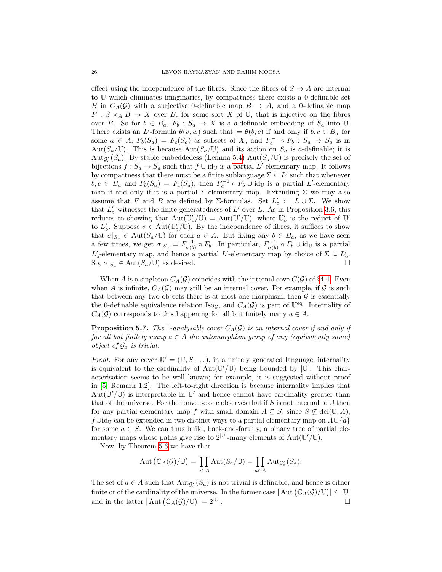effect using the independence of the fibres. Since the fibres of  $S \to A$  are internal to U which eliminates imaginaries, by compactness there exists a 0-definable set B in  $C_A(\mathcal{G})$  with a surjective 0-definable map  $B \to A$ , and a 0-definable map  $F: S \times_A B \to X$  over B, for some sort X of U, that is injective on the fibres over B. So for  $b \in B_a$ ,  $F_b : S_a \to X$  is a b-definable embedding of  $S_a$  into U. There exists an L'-formula  $\theta(v, w)$  such that  $\models \theta(b, c)$  if and only if  $b, c \in B_a$  for some  $a \in A$ ,  $F_b(S_a) = F_c(S_a)$  as subsets of X, and  $F_c^{-1} \circ F_b : S_a \to S_a$  is in Aut $(S_a/\mathbb{U})$ . This is because Aut $(S_a/\mathbb{U})$  and its action on  $S_a$  is a-definable; it is Aut $g_a(S_a)$ . By stable embeddedess (Lemma [5.4\)](#page-22-0) Aut $(S_a/\mathbb{U})$  is precisely the set of bijections  $f : S_a \to S_a$  such that  $f \cup id_{\mathbb{U}}$  is a partial L'-elementary map. It follows by compactness that there must be a finite sublanguage  $\Sigma \subseteq L'$  such that whenever  $b, c \in B_a$  and  $F_b(S_a) = F_c(S_a)$ , then  $F_c^{-1} \circ F_b \cup id_{\mathbb{U}}$  is a partial L'-elementary map if and only if it is a partial  $\Sigma$ -elementary map. Extending  $\Sigma$  we may also assume that F and B are defined by  $\Sigma$ -formulas. Set  $L'_{\circ} := L \cup \Sigma$ . We show that  $L'_{\text{o}}$  witnesses the finite-generatedness of  $L'$  over L. As in Proposition [3.6,](#page-5-1) this reduces to showing that  $Aut(\mathbb{U}'_o/\mathbb{U}) = Aut(\mathbb{U}'/\mathbb{U})$ , where  $\mathbb{U}'_o$  is the reduct of  $\mathbb{U}'$ to  $L'_{\circ}$ . Suppose  $\sigma \in \text{Aut}(\mathbb{U}'_{\circ}/\mathbb{U})$ . By the independence of fibres, it suffices to show that  $\sigma|_{S_a} \in \text{Aut}(S_a/\mathbb{U})$  for each  $a \in A$ . But fixing any  $b \in B_a$ , as we have seen a few times, we get  $\sigma|_{S_a} = F_{\sigma(b)}^{-1} \circ F_b$ . In particular,  $F_{\sigma(b)}^{-1} \circ F_b \cup id_{\mathbb{U}}$  is a partial  $L'_{\circ}$ -elementary map, and hence a partial L'-elementary map by choice of  $\Sigma \subseteq L'_{\circ}$ . So,  $\sigma|_{S_a} \in \text{Aut}(S_a/\mathbb{U})$  as desired.

When A is a singleton  $C_A(\mathcal{G})$  coincides with the internal cove  $C(\mathcal{G})$  of §[4.4.](#page-17-1) Even when A is infinite,  $C_A(\mathcal{G})$  may still be an internal cover. For example, if  $\mathcal G$  is such that between any two objects there is at most one morphism, then  $\mathcal G$  is essentially the 0-definable equivalence relation  $\text{Iso}_{\mathcal{G}}$ , and  $C_A(\mathcal{G})$  is part of  $\mathbb{U}^{eq}$ . Internality of  $C_A(\mathcal{G})$  corresponds to this happening for all but finitely many  $a \in A$ .

**Proposition 5.7.** The 1-analysable cover  $C_A(\mathcal{G})$  is an internal cover if and only if for all but finitely many  $a \in A$  the automorphism group of any (equivalently some) object of  $\mathcal{G}_a$  is trivial.

*Proof.* For any cover  $\mathbb{U}' = (\mathbb{U}, S, \dots)$ , in a finitely generated language, internality is equivalent to the cardinality of  $Aut(\mathbb{U}'/\mathbb{U})$  being bounded by  $|\mathbb{U}|$ . This characterisation seems to be well known; for example, it is suggested without proof in [\[5,](#page-27-4) Remark 1.2]. The left-to-right direction is because internality implies that Aut $(\mathbb{U}'/\mathbb{U})$  is interpretable in  $\mathbb{U}'$  and hence cannot have cardinality greater than that of the universe. For the converse one observes that if  $S$  is not internal to  $U$  then for any partial elementary map f with small domain  $A \subseteq S$ , since  $S \nsubseteq \text{dcl}(\mathbb{U}, A)$ , f ∪id<sub>U</sub> can be extended in two distinct ways to a partial elementary map on  $A\cup\{a\}$ for some  $a \in S$ . We can thus build, back-and-forthly, a binary tree of partial elementary maps whose paths give rise to  $2^{|U|}$ -many elements of Aut $(U'/\overline{U})$ .

Now, by Theorem [5.6](#page-24-0) we have that

$$
\mathrm{Aut}\left(\mathbb{C}_A(\mathcal{G})/\mathbb{U}\right)=\prod_{a\in A}\mathrm{Aut}(S_a/\mathbb{U})=\prod_{a\in A}\mathrm{Aut}_{\mathcal{G}'_a}(S_a).
$$

The set of  $a \in A$  such that  $\text{Aut}_{\mathcal{G}'_a}(S_a)$  is not trivial is definable, and hence is either finite or of the cardinality of the universe. In the former case  $|\text{ Aut }(\mathbb{C}_A(\mathcal{G})/\mathbb{U})| \leq |\mathbb{U}|$ and in the latter  $|\operatorname{Aut}(\mathbb{C}_A(\mathcal{G})/\mathbb{U})|=2^{|\mathbb{U}|}$ . В последните последните последните и последните и последните и последните и последните и последните и послед<br>В последните последните последните последните последните последните последните последните последните последнит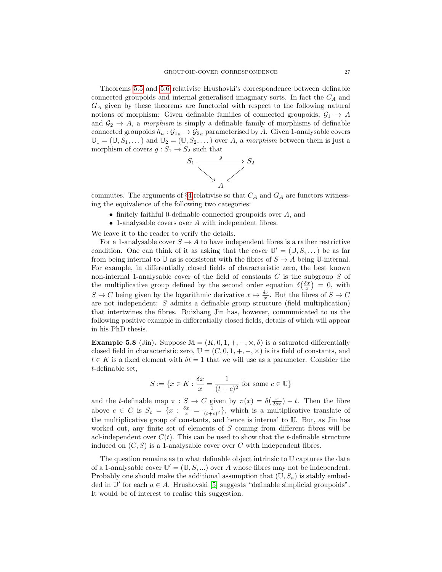Theorems [5.5](#page-23-0) and [5.6](#page-24-0) relativise Hrushovki's correspondence between definable connected groupoids and internal generalised imaginary sorts. In fact the  $C_A$  and  $G_A$  given by these theorems are functorial with respect to the following natural notions of morphism: Given definable families of connected groupoids,  $\mathcal{G}_1 \rightarrow A$ and  $\mathcal{G}_2 \rightarrow A$ , a morphism is simply a definable family of morphisms of definable connected groupoids  $h_a: \mathcal{G}_{1a} \to \mathcal{G}_{2a}$  parameterised by A. Given 1-analysable covers  $\mathbb{U}_1 = (\mathbb{U}, S_1, \dots)$  and  $\mathbb{U}_2 = (\mathbb{U}, S_2, \dots)$  over A, a morphism between them is just a morphism of covers  $g : S_1 \to S_2$  such that



commutes. The arguments of §[4](#page-10-0) relativise so that  $C_A$  and  $G_A$  are functors witnessing the equivalence of the following two categories:

- finitely faithful 0-definable connected groupoids over A, and
- 1-analysable covers over A with independent fibres.

We leave it to the reader to verify the details.

For a 1-analysable cover  $S \to A$  to have independent fibres is a rather restrictive condition. One can think of it as asking that the cover  $\mathbb{U}' = (\mathbb{U}, S, \dots)$  be as far from being internal to U as is consistent with the fibres of  $S \to A$  being U-internal. For example, in differentially closed fields of characteristic zero, the best known non-internal 1-analysable cover of the field of constants  $C$  is the subgroup  $S$  of the multiplicative group defined by the second order equation  $\delta(\frac{\delta x}{x}) = 0$ , with  $S \to C$  being given by the logarithmic derivative  $x \mapsto \frac{\delta x}{x}$ . But the fibres of  $S \to C$ are not independent: S admits a definable group structure (field multiplication) that intertwines the fibres. Ruizhang Jin has, however, communicated to us the following positive example in differentially closed fields, details of which will appear in his PhD thesis.

**Example 5.8** (Jin). Suppose  $\mathbb{M} = (K, 0, 1, +, -, \times, \delta)$  is a saturated differentially closed field in characteristic zero,  $\mathbb{U} = (C, 0, 1, +, -, \times)$  is its field of constants, and  $t \in K$  is a fixed element with  $\delta t = 1$  that we will use as a parameter. Consider the t-definable set,

$$
S := \{ x \in K : \frac{\delta x}{x} = \frac{1}{(t+c)^2} \text{ for some } c \in \mathbb{U} \}
$$

and the t-definable map  $\pi : S \to C$  given by  $\pi(x) = \delta\left(\frac{x}{2\delta x}\right) - t$ . Then the fibre above  $c \in C$  is  $S_c = \{x : \frac{\delta x}{x} = \frac{1}{(t+c)^2}\}\,$ , which is a multiplicative translate of the multiplicative group of constants, and hence is internal to U. But, as Jin has worked out, any finite set of elements of S coming from different fibres will be acl-independent over  $C(t)$ . This can be used to show that the t-definable structure induced on  $(C, S)$  is a 1-analysable cover over C with independent fibres.

The question remains as to what definable object intrinsic to U captures the data of a 1-analysable cover  $\mathbb{U}' = (\mathbb{U}, S, \dots)$  over A whose fibres may not be independent. Probably one should make the additional assumption that  $(\mathbb{U}, S_a)$  is stably embedded in  $\mathbb{U}'$  for each  $a \in A$ . Hrushovski [\[5\]](#page-27-4) suggests "definable simplicial groupoids". It would be of interest to realise this suggestion.